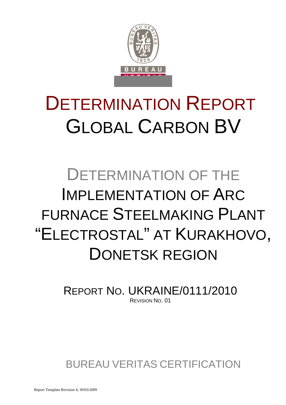

# DETERMINATION REPORT GLOBAL CARBON BV

# DETERMINATION OF THE IMPLEMENTATION OF ARC FURNACE STEELMAKING PLANT "ELECTROSTAL" AT KURAKHOVO, DONETSK REGION

REPORT NO. UKRAINE/0111/2010 REVISION NO. 01

BUREAU VERITAS CERTIFICATION

Report Template Revision 4, 30/03/2009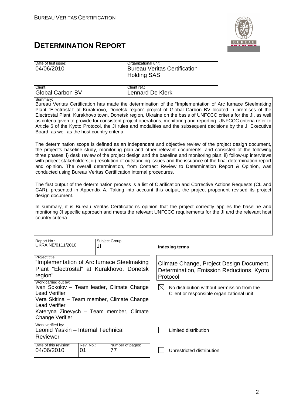

| Date of first issue:<br>04/06/2010                                                                                                                                                                                                     |    | Organizational unit:<br><b>Holding SAS</b> | <b>Bureau Veritas Certification</b>                                                                                                                                                                                                                                                                                                                                                                                                                                                                                                                                            |
|----------------------------------------------------------------------------------------------------------------------------------------------------------------------------------------------------------------------------------------|----|--------------------------------------------|--------------------------------------------------------------------------------------------------------------------------------------------------------------------------------------------------------------------------------------------------------------------------------------------------------------------------------------------------------------------------------------------------------------------------------------------------------------------------------------------------------------------------------------------------------------------------------|
| Client:<br><b>Global Carbon BV</b>                                                                                                                                                                                                     |    | Client ref.:<br><b>Lennard De Klerk</b>    |                                                                                                                                                                                                                                                                                                                                                                                                                                                                                                                                                                                |
| Summary:<br>Board, as well as the host country criteria.                                                                                                                                                                               |    |                                            | Bureau Veritas Certification has made the determination of the "Implementation of Arc furnace Steelmaking<br>Plant "Electrostal" at Kurakhovo, Donetsk region" project of Global Carbon BV located in premises of the<br>Electrostal Plant, Kurakhovo town, Donetsk region, Ukraine on the basis of UNFCCC criteria for the JI, as well<br>as criteria given to provide for consistent project operations, monitoring and reporting. UNFCCC criteria refer to<br>Article 6 of the Kyoto Protocol, the JI rules and modalities and the subsequent decisions by the JI Executive |
| conducted using Bureau Veritas Certification internal procedures.                                                                                                                                                                      |    |                                            | The determination scope is defined as an independent and objective review of the project design document,<br>the project's baseline study, monitoring plan and other relevant documents, and consisted of the following<br>three phases: i) desk review of the project design and the baseline and monitoring plan; ii) follow-up interviews<br>with project stakeholders; iii) resolution of outstanding issues and the issuance of the final determination report<br>and opinion. The overall determination, from Contract Review to Determination Report & Opinion, was     |
| design document.                                                                                                                                                                                                                       |    |                                            | The first output of the determination process is a list of Clarification and Corrective Actions Requests (CL and<br>CAR), presented in Appendix A. Taking into account this output, the project proponent revised its project                                                                                                                                                                                                                                                                                                                                                  |
| country criteria.                                                                                                                                                                                                                      |    |                                            | In summary, it is Bureau Veritas Certification's opinion that the project correctly applies the baseline and<br>monitoring JI specific approach and meets the relevant UNFCCC requirements for the JI and the relevant host                                                                                                                                                                                                                                                                                                                                                    |
| Report No.:<br>UKRAINE/0111/2010                                                                                                                                                                                                       | JI | Subject Group:                             | <b>Indexing terms</b>                                                                                                                                                                                                                                                                                                                                                                                                                                                                                                                                                          |
| Project title:<br>"Implementation of Arc furnace Steelmaking<br>Plant "Electrostal" at Kurakhovo, Donetsk<br>region"                                                                                                                   |    |                                            | Climate Change, Project Design Document,<br>Determination, Emission Reductions, Kyoto<br>Protocol                                                                                                                                                                                                                                                                                                                                                                                                                                                                              |
| Work carried out by:<br>Ivan Sokolov - Team leader, Climate Change<br><b>Lead Verifier</b><br>Vera Skitina – Team member, Climate Change<br><b>Lead Verifier</b><br>Kateryna Zinevych - Team member, Climate<br><b>Change Verifier</b> |    |                                            | $\boxtimes$<br>No distribution without permission from the<br>Client or responsible organizational unit                                                                                                                                                                                                                                                                                                                                                                                                                                                                        |
| Work verified by:<br>Leonid Yaskin - Internal Technical<br>Reviewer                                                                                                                                                                    |    |                                            | Limited distribution                                                                                                                                                                                                                                                                                                                                                                                                                                                                                                                                                           |
| Date of this revision:<br>Rev. No.:<br>04/06/2010<br>01                                                                                                                                                                                |    | Number of pages:<br>77                     | Unrestricted distribution                                                                                                                                                                                                                                                                                                                                                                                                                                                                                                                                                      |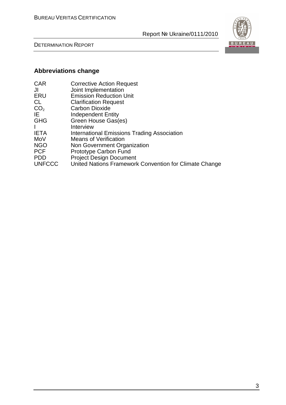



# **Abbreviations change**

| <b>CAR</b>      | <b>Corrective Action Request</b>                       |
|-----------------|--------------------------------------------------------|
| JI              | Joint Implementation                                   |
| ERU             | <b>Emission Reduction Unit</b>                         |
| CL              | <b>Clarification Request</b>                           |
| CO <sub>2</sub> | <b>Carbon Dioxide</b>                                  |
| IE              | <b>Independent Entity</b>                              |
| <b>GHG</b>      | Green House Gas(es)                                    |
|                 | Interview                                              |
| <b>IETA</b>     | International Emissions Trading Association            |
| MoV             | <b>Means of Verification</b>                           |
| <b>NGO</b>      | Non Government Organization                            |
| <b>PCF</b>      | Prototype Carbon Fund                                  |
| <b>PDD</b>      | <b>Project Design Document</b>                         |
| <b>UNFCCC</b>   | United Nations Framework Convention for Climate Change |
|                 |                                                        |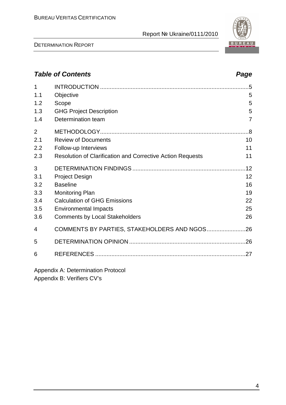DETERMINATION REPORT

4

# **Table of Contents Page 2014**

| 1              |                                                            | .5             |
|----------------|------------------------------------------------------------|----------------|
| 1.1            | Objective                                                  | 5              |
| 1.2            | Scope                                                      | 5              |
| 1.3            | <b>GHG Project Description</b>                             | 5              |
| 1.4            | Determination team                                         | $\overline{7}$ |
|                |                                                            |                |
| $\overline{2}$ |                                                            |                |
| 2.1            | <b>Review of Documents</b>                                 | 10             |
| 2.2            | Follow-up Interviews                                       | 11             |
| 2.3            | Resolution of Clarification and Corrective Action Requests | 11             |
| 3              |                                                            |                |
| 3.1            | <b>Project Design</b>                                      | 12             |
| 3.2            | <b>Baseline</b>                                            | 16             |
| 3.3            | <b>Monitoring Plan</b>                                     | 19             |
| 3.4            | <b>Calculation of GHG Emissions</b>                        | 22             |
| 3.5            | <b>Environmental Impacts</b>                               | 25             |
| 3.6            | <b>Comments by Local Stakeholders</b>                      | 26             |
| 4              | COMMENTS BY PARTIES, STAKEHOLDERS AND NGOS                 | .26            |
| 5              |                                                            |                |
| 6              |                                                            | 27             |
|                |                                                            |                |

Appendix A: Determination Protocol Appendix B: Verifiers CV's

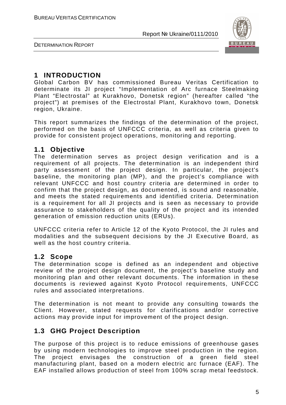

DETERMINATION REPORT

### **1 INTRODUCTION**

Global Carbon BV has commissioned Bureau Veritas Certification to determinate its JI project "Implementation of Arc furnace Steelmaking Plant "Electrostal" at Kurakhovo, Donetsk region" (hereafter called "the project") at premises of the Electrostal Plant, Kurakhovo town, Donetsk region, Ukraine.

This report summarizes the findings of the determination of the project, performed on the basis of UNFCCC criteria, as well as criteria given to provide for consistent project operations, monitoring and reporting.

#### **1.1 Objective**

The determination serves as project design verification and is a requirement of all projects. The determination is an independent third party assessment of the project design. In particular, the project's baseline, the monitoring plan (MP), and the project's compliance with relevant UNFCCC and host country criteria are determined in order to confirm that the project design, as documented, is sound and reasonable, and meets the stated requirements and identified criteria. Determination is a requirement for all JI projects and is seen as necessary to provide assurance to stakeholders of the quality of the project and its intended generation of emission reduction units (ERUs).

UNFCCC criteria refer to Article 12 of the Kyoto Protocol, the JI rules and modalities and the subsequent decisions by the JI Executive Board, as well as the host country criteria.

#### **1.2 Scope**

The determination scope is defined as an independent and objective review of the project design document, the project's baseline study and monitoring plan and other relevant documents. The information in these documents is reviewed against Kyoto Protocol requirements, UNFCCC rules and associated interpretations.

The determination is not meant to provide any consulting towards the Client. However, stated requests for clarifications and/or corrective actions may provide input for improvement of the project design.

## **1.3 GHG Project Description**

The purpose of this project is to reduce emissions of greenhouse gases by using modern technologies to improve steel production in the region. The project envisages the construction of a green field steel manufacturing plant, based on a modern electric arc furnace (EAF). The EAF installed allows production of steel from 100% scrap metal feedstock.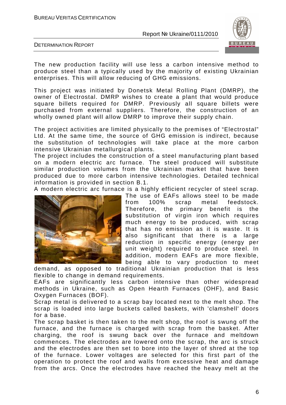

DETERMINATION REPORT

The new production facility will use less a carbon intensive method to produce steel than a typically used by the majority of existing Ukrainian enterprises. This will allow reducing of GHG emissions.

This project was initiated by Donetsk Metal Rolling Plant (DMRP), the owner of Electrostal. DMRP wishes to create a plant that would produce square billets required for DMRP. Previously all square billets were purchased from external suppliers. Therefore, the construction of an wholly owned plant will allow DMRP to improve their supply chain.

The project activities are limited physically to the premises of "Electrostal" Ltd. At the same time, the source of GHG emission is indirect, because the substitution of technologies will take place at the more carbon intensive Ukrainian metallurgical plants.

The project includes the construction of a steel manufacturing plant based on a modern electric arc furnace. The steel produced will substitute similar production volumes from the Ukrainian market that have been produced due to more carbon intensive technologies. Detailed technical information is provided in section B.1.

A modern electric arc furnace is a highly efficient recycler of steel scrap.



The use of EAFs allows steel to be made from 100% scrap metal feedstock. Therefore, the primary benefit is the substitution of virgin iron which requires much energy to be produced, with scrap that has no emission as it is waste. It is also significant that there is a large reduction in specific energy (energy per unit weight) required to produce steel. In addition, modern EAFs are more flexible, being able to vary production to meet

demand, as opposed to traditional Ukrainian production that is less flexible to change in demand requirements.

EAFs are significantly less carbon intensive than other widespread methods in Ukraine, such as Open Hearth Furnaces (OHF), and Basic Oxygen Furnaces (BOF).

Scrap metal is delivered to a scrap bay located next to the melt shop. The scrap is loaded into large buckets called baskets, with 'clamshell' doors for a base.

The scrap basket is then taken to the melt shop, the roof is swung off the furnace, and the furnace is charged with scrap from the basket. After charging, the roof is swung back over the furnace and meltdown commences. The electrodes are lowered onto the scrap, the arc is struck and the electrodes are then set to bore into the layer of shred at the top of the furnace. Lower voltages are selected for this first part of the operation to protect the roof and walls from excessive heat and damage from the arcs. Once the electrodes have reached the heavy melt at the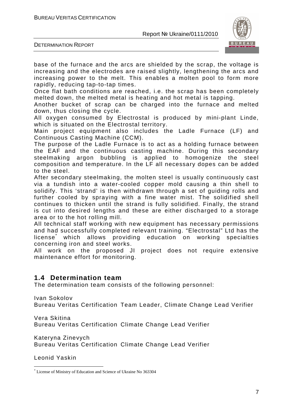

DETERMINATION REPORT

base of the furnace and the arcs are shielded by the scrap, the voltage is increasing and the electrodes are raised slightly, lengthening the arcs and increasing power to the melt. This enables a molten pool to form more rapidly, reducing tap-to-tap times.

Once flat bath conditions are reached, i.e. the scrap has been completely melted down, the melted metal is heating and hot metal is tapping.

Another bucket of scrap can be charged into the furnace and melted down, thus closing the cycle.

All oxygen consumed by Electrostal is produced by mini-plant Linde, which is situated on the Electrostal territory.

Main project equipment also includes the Ladle Furnace (LF) and Continuous Casting Machine (CCM).

The purpose of the Ladle Furnace is to act as a holding furnace between the EAF and the continuous casting machine. During this secondary steelmaking argon bubbling is applied to homogenize the steel composition and temperature. In the LF all necessary dopes can be added to the steel.

After secondary steelmaking, the molten steel is usually continuously cast via a tundish into a water-cooled copper mold causing a thin shell to solidify. This 'strand' is then withdrawn through a set of guiding rolls and further cooled by spraying with a fine water mist. The solidified shell continues to thicken until the strand is fully solidified. Finally, the strand is cut into desired lengths and these are either discharged to a storage area or to the hot rolling mill.

All technical staff working with new equipment has necessary permissions and had successfully completed relevant training. "Electrostal" Ltd has the license<sup>\*</sup> which allows providing education on working specialties concerning iron and steel works.

All work on the proposed JI project does not require extensive maintenance effort for monitoring.

## **1.4 Determination team**

The determination team consists of the following personnel:

Ivan Sokolov Bureau Veritas Certification Team Leader, Climate Change Lead Verifier

Vera Skitina Bureau Veritas Certification Climate Change Lead Verifier

Kateryna Zinevych Bureau Veritas Certification Climate Change Lead Verifier

Leonid Yaskin

 $\overline{a}$ \* License of Ministry of Education and Science of Ukraine No 363304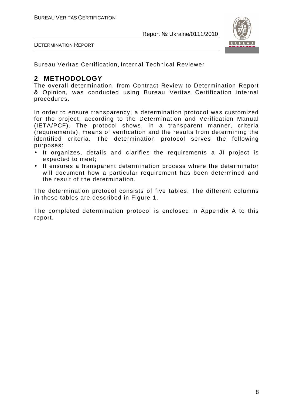

DETERMINATION REPORT

Bureau Veritas Certification, Internal Technical Reviewer

# **2 METHODOLOGY**

The overall determination, from Contract Review to Determination Report & Opinion, was conducted using Bureau Veritas Certification internal procedures.

In order to ensure transparency, a determination protocol was customized for the project, according to the Determination and Verification Manual (IETA/PCF). The protocol shows, in a transparent manner, criteria (requirements), means of verification and the results from determining the identified criteria. The determination protocol serves the following purposes:

- It organizes, details and clarifies the requirements a JI project is expected to meet;
- It ensures a transparent determination process where the determinator will document how a particular requirement has been determined and the result of the determination.

The determination protocol consists of five tables. The different columns in these tables are described in Figure 1.

The completed determination protocol is enclosed in Appendix A to this report.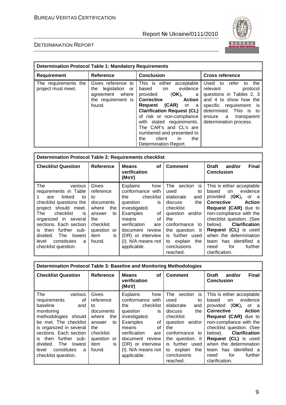

| <b>Determination Protocol Table 1: Mandatory Requirements</b> |                                                                                                   |                                                                                                                                                                                                                                                                                                                                                               |                                                                                                                                                                                                                      |  |
|---------------------------------------------------------------|---------------------------------------------------------------------------------------------------|---------------------------------------------------------------------------------------------------------------------------------------------------------------------------------------------------------------------------------------------------------------------------------------------------------------------------------------------------------------|----------------------------------------------------------------------------------------------------------------------------------------------------------------------------------------------------------------------|--|
| <b>Requirement</b>                                            | <b>Reference</b>                                                                                  | <b>Conclusion</b>                                                                                                                                                                                                                                                                                                                                             | <b>Cross reference</b>                                                                                                                                                                                               |  |
| The requirements the<br>project must meet.                    | Gives reference to<br>legislation<br>the<br>or<br>agreement where<br>the requirement is<br>found. | This is either acceptable<br>evidence<br>based<br>on<br>provided<br>(OK),<br>a a<br><b>Action</b><br><b>Corrective</b><br>(CAR) or a<br>Reguest<br><b>Clarification Request (CL)</b><br>of risk or non-compliance<br>with stated requirements.<br>The CAR's and CL's are<br>numbered and presented to<br>client<br>the<br>in.<br>the<br>Determination Report. | Used to<br>refer<br>the<br>to<br>relevant<br>protocol<br>questions in Tables 2, 3<br>and 4 to show how the<br>specific requirement is<br>determined. This is to<br>transparent<br>ensure a<br>determination process. |  |

| <b>Determination Protocol Table 2: Requirements checklist</b>                                                                                                                                                                                                |                                                                                                                        |                                                                                                                                                                                                   |                                                                                                                                                                       |                                                                                                                                                                                                                                                                             |
|--------------------------------------------------------------------------------------------------------------------------------------------------------------------------------------------------------------------------------------------------------------|------------------------------------------------------------------------------------------------------------------------|---------------------------------------------------------------------------------------------------------------------------------------------------------------------------------------------------|-----------------------------------------------------------------------------------------------------------------------------------------------------------------------|-----------------------------------------------------------------------------------------------------------------------------------------------------------------------------------------------------------------------------------------------------------------------------|
| <b>Checklist Question</b>                                                                                                                                                                                                                                    | Reference                                                                                                              | <b>Means</b><br>Οf<br>verification<br>(MoV)                                                                                                                                                       | <b>Comment</b>                                                                                                                                                        | <b>Final</b><br><b>Draft</b><br>and/or<br><b>Conclusion</b>                                                                                                                                                                                                                 |
| The<br>various<br>requirements in Table<br>linked<br>to<br>are<br>checklist questions the<br>project should meet.<br>The<br>checklist<br>is<br>organized in several<br>sections. Each section<br>further sub-<br>is then<br>divided.<br><b>The</b><br>lowest | Gives<br>reference<br>to<br>documents<br>where<br>the<br>answer<br>to<br>the<br>checklist<br>question or<br>item<br>is | <b>Explains</b><br>how<br>conformance with<br>checklist<br>the<br>question<br>is<br>investigated.<br>Examples<br>οf<br>οf<br>means<br>verification<br>are<br>document review<br>(DR) or interview | The section is<br>used<br>to<br>elaborate<br>and<br>the<br>discuss<br>checklist<br>question and/or<br>the<br>conformance to<br>the question. It<br>further used<br>is | This is either acceptable<br>evidence<br>based<br>on<br>provided (OK), or a<br><b>Corrective</b><br><b>Action</b><br>Request (CAR) due to<br>non-compliance with the<br>checklist question. (See<br>below). Clarification<br>Request (CL) is used<br>when the determination |
| level<br>constitutes<br>a<br>checklist question.                                                                                                                                                                                                             | found.                                                                                                                 | (I). N/A means not<br>applicable.                                                                                                                                                                 | to explain<br>the<br>conclusions<br>reached.                                                                                                                          | has identified a<br>team<br>for<br>further<br>need<br>clarification.                                                                                                                                                                                                        |

| Determination Protocol Table 3: Baseline and Monitoring Methodologies |                              |                                             |                                              |                                                                      |
|-----------------------------------------------------------------------|------------------------------|---------------------------------------------|----------------------------------------------|----------------------------------------------------------------------|
| <b>Checklist Question</b>                                             | Reference                    | <b>Means</b><br>Οf<br>verification<br>(MoV) | <b>Comment</b>                               | <b>Final</b><br><b>Draft</b><br>and/or<br><b>Conclusion</b>          |
| The<br>various<br>οf<br>requirements                                  | Gives<br>reference           | <b>Explains</b><br>how<br>conformance with  | The<br>is<br>section<br>used<br>to           | This is either acceptable<br>evidence<br>based<br>on                 |
| baseline<br>and                                                       | tο                           | checklist<br>the                            | elaborate<br>and                             | (OK),<br>provided<br>or<br>- a                                       |
| monitoring<br>methodologies should                                    | documents<br>where           | question<br>is<br>investigated.             | the<br>discuss<br>checklist                  | Corrective<br><b>Action</b><br>Request (CAR) due to                  |
| be met. The checklist                                                 | the<br>answer<br>to          | Examples<br>οf                              | question and/or                              | non-compliance with the                                              |
| is organized in several                                               | the                          | οf<br>means                                 | the                                          | checklist question. (See                                             |
| sections. Each section                                                | checklist                    | verification<br>are                         | conformance to                               | below). <b>Clarification</b>                                         |
| further sub-<br>then<br>İS.<br>divided.<br>The<br>lowest              | question<br>or<br>item<br>is | document review<br>(DR) or interview        | the question. It<br>further used<br>is       | Request (CL) is used<br>when the determination                       |
| constitutes<br>level<br>a<br>checklist question.                      | found.                       | (I). N/A means not<br>applicable.           | to explain<br>the<br>conclusions<br>reached. | has identified a<br>team<br>for<br>further<br>need<br>clarification. |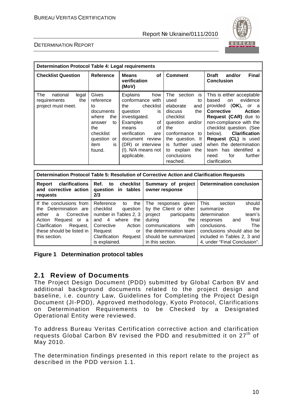

#### DETERMINATION REPORT

| <b>Determination Protocol Table 4: Legal requirements</b>             |                                                                                                                                     |                                                                                                                                                                                                                                        |                                                                                                                                                                                                                             |                                                                                                                                                                                                                                                                                                                                                                  |
|-----------------------------------------------------------------------|-------------------------------------------------------------------------------------------------------------------------------------|----------------------------------------------------------------------------------------------------------------------------------------------------------------------------------------------------------------------------------------|-----------------------------------------------------------------------------------------------------------------------------------------------------------------------------------------------------------------------------|------------------------------------------------------------------------------------------------------------------------------------------------------------------------------------------------------------------------------------------------------------------------------------------------------------------------------------------------------------------|
| <b>Checklist Question</b>                                             | Reference                                                                                                                           | <b>Means</b><br>οf<br>verification<br>(MoV)                                                                                                                                                                                            | <b>Comment</b>                                                                                                                                                                                                              | <b>Final</b><br><b>Draft</b><br>and/or<br><b>Conclusion</b>                                                                                                                                                                                                                                                                                                      |
| The<br>national<br>legal<br>the<br>requirements<br>project must meet. | Gives<br>reference<br>to<br>documents<br>where<br>the<br>to<br>answer<br>the<br>checklist<br>question<br>or<br>item<br>is<br>found. | <b>Explains</b><br>how<br>conformance with<br>checklist<br>the<br>question<br>is<br>investigated.<br>Examples<br>of<br>οf<br>means<br>verification<br>are<br>document review<br>(DR) or interview<br>(I). N/A means not<br>applicable. | The<br>section<br>is<br>used<br>to<br>elaborate<br>and<br>the<br>discuss<br>checklist<br>question and/or<br>the<br>conformance<br>to<br>the question. It<br>is further used<br>to explain<br>the<br>conclusions<br>reached. | This is either acceptable<br>evidence<br>based<br>on<br>provided (OK),<br>or a<br><b>Corrective</b><br><b>Action</b><br>Request (CAR) due to<br>non-compliance with the<br>checklist question. (See<br><b>Clarification</b><br>below).<br>Request (CL) is used<br>when the determination<br>has identified a<br>team<br>for<br>further<br>need<br>clarification. |

| Determination Protocol Table 5: Resolution of Corrective Action and Clarification Requests                                                                                      |                                                                                                                                                                                           |                                                                                                                                                                                        |                                                                                                                                                                                                                           |  |  |  |
|---------------------------------------------------------------------------------------------------------------------------------------------------------------------------------|-------------------------------------------------------------------------------------------------------------------------------------------------------------------------------------------|----------------------------------------------------------------------------------------------------------------------------------------------------------------------------------------|---------------------------------------------------------------------------------------------------------------------------------------------------------------------------------------------------------------------------|--|--|--|
| <b>clarifications</b><br>Report<br>and corrective action<br>requests                                                                                                            | Ref. to checklist<br>question in tables<br>2/3                                                                                                                                            | Summary of project<br>owner response                                                                                                                                                   | <b>Determination conclusion</b>                                                                                                                                                                                           |  |  |  |
| If the conclusions from<br>the Determination are<br>either a<br>Corrective<br>Action<br>Request or a<br>Clarification<br>Request,<br>these should be listed in<br>this section. | Reference<br>the<br>to<br>checklist<br>question<br>number in Tables 2, 3<br>where<br>and $4$<br>the<br>Corrective<br>Action<br>Request<br>or<br>Clarification<br>Request<br>is explained. | The responses given<br>by the Client or other<br>project participants<br>during<br>the<br>communications<br>with<br>the determination team<br>should be summarized<br>in this section. | This<br>should<br>section<br>the<br>summarize<br>determination<br>team's<br>final<br>responses<br>and<br>The<br>conclusions.<br>conclusions should also be<br>included in Tables 2, 3 and<br>4, under "Final Conclusion". |  |  |  |

#### **Figure 1 Determination protocol tables**

#### **2.1 Review of Documents**

The Project Design Document (PDD) submitted by Global Carbon BV and additional background documents related to the project design and baseline, i.e. country Law, Guidelines for Completing the Project Design Document (JI-PDD), Approved methodology, Kyoto Protocol, Clarifications on Determination Requirements to be Checked by a Designated Operational Entity were reviewed.

To address Bureau Veritas Certification corrective action and clarification requests Global Carbon BV revised the PDD and resubmitted it on 27<sup>th</sup> of May 2010.

The determination findings presented in this report relate to the project as described in the PDD version 1.1.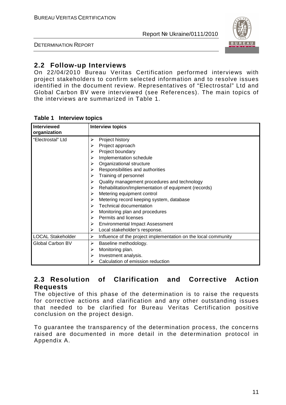DETERMINATION REPORT



# **2.2 Follow-up Interviews**

On 22/04/2010 Bureau Veritas Certification performed interviews with project stakeholders to confirm selected information and to resolve issues identified in the document review. Representatives of "Electrostal" Ltd and Global Carbon BV were interviewed (see References). The main topics of the interviews are summarized in Table 1.

| <b>Interviewed</b><br>organization | <b>Interview topics</b>                                                                                                                                                                                                                                                                                                                                                                                                                                                                                                                                                                                              |
|------------------------------------|----------------------------------------------------------------------------------------------------------------------------------------------------------------------------------------------------------------------------------------------------------------------------------------------------------------------------------------------------------------------------------------------------------------------------------------------------------------------------------------------------------------------------------------------------------------------------------------------------------------------|
| "Electrostal" Ltd                  | Project history<br>≻<br>Project approach<br>⋗<br>Project boundary<br>↘<br>Implementation schedule<br>⋗<br>Organizational structure<br>➤<br>Responsibilities and authorities<br>➤<br>Training of personnel<br>≻<br>Quality management procedures and technology<br>≻<br>Rehabilitation/Implementation of equipment (records)<br>➤<br>Metering equipment control<br>➤<br>Metering record keeping system, database<br>➤<br><b>Technical documentation</b><br>➤<br>Monitoring plan and procedures<br>⋗<br>Permits and licenses<br>⋗<br><b>Environmental Impact Assessment</b><br>≻<br>Local stakeholder's response.<br>➤ |
| <b>LOCAL Stakeholder</b>           | Influence of the project implementation on the local community<br>≻                                                                                                                                                                                                                                                                                                                                                                                                                                                                                                                                                  |
| Global Carbon BV                   | Baseline methodology.<br>➤<br>Monitoring plan.<br>➤<br>Investment analysis.<br>➤<br>Calculation of emission reduction                                                                                                                                                                                                                                                                                                                                                                                                                                                                                                |

#### **Table 1 Interview topics**

#### **2.3 Resolution of Clarification and Corrective Action Requests**

The objective of this phase of the determination is to raise the requests for corrective actions and clarification and any other outstanding issues that needed to be clarified for Bureau Veritas Certification positive conclusion on the project design.

To guarantee the transparency of the determination process, the concerns raised are documented in more detail in the determination protocol in Appendix A.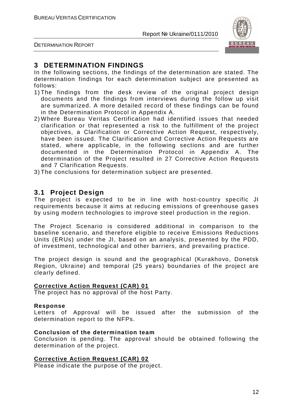

DETERMINATION REPORT

# **3 DETERMINATION FINDINGS**

In the following sections, the findings of the determination are stated. The determination findings for each determination subject are presented as follows:

- 1) The findings from the desk review of the original project design documents and the findings from interviews during the follow up visit are summarized. A more detailed record of these findings can be found in the Determination Protocol in Appendix A.
- 2) Where Bureau Veritas Certification had identified issues that needed clarification or that represented a risk to the fulfillment of the project objectives, a Clarification or Corrective Action Request, respectively, have been issued. The Clarification and Corrective Action Requests are stated, where applicable, in the following sections and are further documented in the Determination Protocol in Appendix A. The determination of the Project resulted in 27 Corrective Action Requests and 7 Clarification Requests.
- 3) The conclusions for determination subject are presented.

#### **3.1 Project Design**

The project is expected to be in line with host-country specific JI requirements because it aims at reducing emissions of greenhouse gases by using modern technologies to improve steel production in the region.

The Project Scenario is considered additional in comparison to the baseline scenario, and therefore eligible to receive Emissions Reductions Units (ERUs) under the JI, based on an analysis, presented by the PDD, of investment, technological and other barriers, and prevailing practice.

The project design is sound and the geographical (Kurakhovo, Donetsk Region, Ukraine) and temporal (25 years) boundaries of the project are clearly defined.

#### **Corrective Action Request (CAR) 01**

The project has no approval of the host Party.

#### **Response**

Letters of Approval will be issued after the submission of the determination report to the NFPs.

#### **Conclusion of the determination team**

Conclusion is pending. The approval should be obtained following the determination of the project.

#### **Corrective Action Request (CAR) 02**

Please indicate the purpose of the project.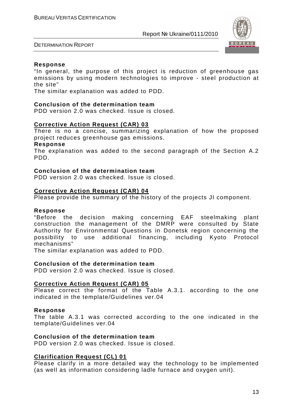

DETERMINATION REPORT

#### **Response**

"In general, the purpose of this project is reduction of greenhouse gas emissions by using modern technologies to improve - steel production at the site"

The similar explanation was added to PDD.

#### **Conclusion of the determination team**

PDD version 2.0 was checked. Issue is closed.

#### **Corrective Action Request (CAR) 03**

There is no a concise, summarizing explanation of how the proposed project reduces greenhouse gas emissions.

#### **Response**

The explanation was added to the second paragraph of the Section A.2 PDD.

#### **Conclusion of the determination team**

PDD version 2.0 was checked. Issue is closed.

#### **Corrective Action Request (CAR) 04**

Please provide the summary of the history of the projects JI component.

#### **Response**

"Before the decision making concerning EAF steelmaking plant construction the management of the DMRP were consulted by State Authority for Environmental Questions in Donetsk region concerning the possibility to use additional financing, including Kyoto Protocol mechanisms"

The similar explanation was added to PDD.

#### **Conclusion of the determination team**

PDD version 2.0 was checked. Issue is closed.

#### **Corrective Action Request (CAR) 05**

Please correct the format of the Table A.3.1. according to the one indicated in the template/Guidelines ver.04

#### **Response**

The table A.3.1 was corrected according to the one indicated in the template/Guidelines ver.04

#### **Conclusion of the determination team**

PDD version 2.0 was checked. Issue is closed.

#### **Clarification Request (CL) 01**

Please clarify in a more detailed way the technology to be implemented (as well as information considering ladle furnace and oxygen unit).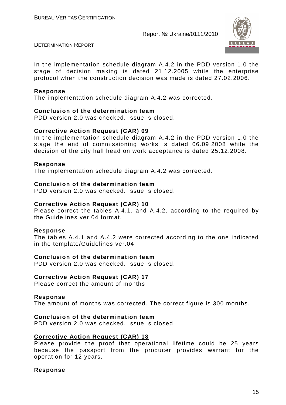

DETERMINATION REPORT

In the implementation schedule diagram A.4.2 in the PDD version 1.0 the stage of decision making is dated 21.12.2005 while the enterprise protocol when the construction decision was made is dated 27.02.2006.

#### **Response**

The implementation schedule diagram A.4.2 was corrected.

#### **Conclusion of the determination team**

PDD version 2.0 was checked. Issue is closed.

#### **Corrective Action Request (CAR) 09**

In the implementation schedule diagram A.4.2 in the PDD version 1.0 the stage the end of commissioning works is dated 06.09.2008 while the decision of the city hall head on work acceptance is dated 25.12.2008.

#### **Response**

The implementation schedule diagram A.4.2 was corrected.

#### **Conclusion of the determination team**

PDD version 2.0 was checked. Issue is closed.

#### **Corrective Action Request (CAR) 10**

Please correct the tables A.4.1. and A.4.2. according to the required by the Guidelines ver.04 format.

#### **Response**

The tables A.4.1 and A.4.2 were corrected according to the one indicated in the template/Guidelines ver.04

#### **Conclusion of the determination team**

PDD version 2.0 was checked. Issue is closed.

#### **Corrective Action Request (CAR) 17**

Please correct the amount of months.

#### **Response**

The amount of months was corrected. The correct figure is 300 months.

#### **Conclusion of the determination team**

PDD version 2.0 was checked. Issue is closed.

#### **Corrective Action Request (CAR) 18**

Please provide the proof that operational lifetime could be 25 years because the passport from the producer provides warrant for the operation for 12 years.

#### **Response**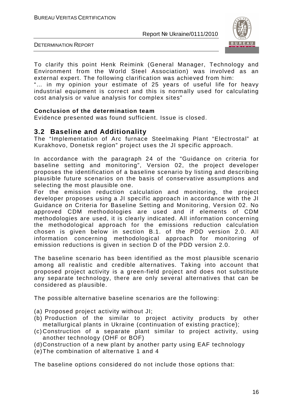

DETERMINATION REPORT

To clarify this point Henk Reimink (General Manager, Technology and Environment from the World Steel Association) was involved as an external expert. The following clarification was achieved from him:

"… in my opinion your estimate of 25 years of useful life for heavy industrial equipment is correct and this is normally used for calculating cost analysis or value analysis for complex sites"

#### **Conclusion of the determination team**

Evidence presented was found sufficient. Issue is closed.

#### **3.2 Baseline and Additionality**

The "Implementation of Arc furnace Steelmaking Plant "Electrostal" at Kurakhovo, Donetsk region" project uses the JI specific approach.

In accordance with the paragraph 24 of the "Guidance on criteria for baseline setting and monitoring", Version 02, the project developer proposes the identification of a baseline scenario by listing and describing plausible future scenarios on the basis of conservative assumptions and selecting the most plausible one.

For the emission reduction calculation and monitoring, the project developer proposes using a JI specific approach in accordance with the JI Guidance on Criteria for Baseline Setting and Monitoring, Version 02. No approved CDM methodologies are used and if elements of CDM methodologies are used, it is clearly indicated. All information concerning the methodological approach for the emissions reduction calculation chosen is given below in section B.1. of the PDD version 2.0. All information concerning methodological approach for monitoring of emission reductions is given in section D of the PDD version 2.0.

The baseline scenario has been identified as the most plausible scenario among all realistic and credible alternatives. Taking into account that proposed project activity is a green-field project and does not substitute any separate technology, there are only several alternatives that can be considered as plausible.

The possible alternative baseline scenarios are the following:

- (a) Proposed project activity without JI;
- (b) Production of the similar to project activity products by other metallurgical plants in Ukraine (continuation of existing practice);
- (c) Construction of a separate plant similar to project activity, using another technology (OHF or BOF)
- (d) Construction of a new plant by another party using EAF technology
- (e) The combination of alternative 1 and 4

The baseline options considered do not include those options that: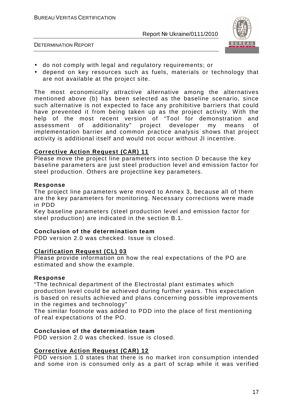

DETERMINATION REPORT

- do not comply with legal and regulatory requirements; or
- depend on key resources such as fuels, materials or technology that are not available at the project site.

The most economically attractive alternative among the alternatives mentioned above (b) has been selected as the baseline scenario, since such alternative is not expected to face any prohibitive barriers that could have prevented it from being taken up as the project activity. With the help of the most recent version of "Tool for demonstration and assessment of additionality" project developer my means of implementation barrier and common practice analysis shows that project activity is additional itself and would not occur without JI incentive.

#### **Corrective Action Request (CAR) 11**

Please move the project line parameters into section D because the key baseline parameters are just steel production level and emission factor for steel production. Others are projectline key parameters.

#### **Response**

The project line parameters were moved to Annex 3, because all of them are the key parameters for monitoring. Necessary corrections were made in PDD

Key baseline parameters (steel production level and emission factor for steel production) are indicated in the section B.1.

#### **Conclusion of the determination team**

PDD version 2.0 was checked. Issue is closed.

#### **Clarification Request (CL) 03**

Please provide information on how the real expectations of the PO are estimated and show the example.

#### **Response**

"The technical department of the Electrostal plant estimates which production level could be achieved during further years. This expectation is based on results achieved and plans concerning possible improvements in the regimes and technology"

The similar footnote was added to PDD into the place of first mentioning of real expectations of the PO.

#### **Conclusion of the determination team**

PDD version 2.0 was checked. Issue is closed.

#### **Corrective Action Request (CAR) 12**

PDD version 1.0 states that there is no market iron consumption intended and some iron is consumed only as a part of scrap while it was verified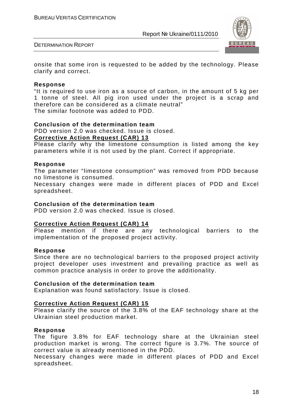

DETERMINATION REPORT

onsite that some iron is requested to be added by the technology. Please clarify and correct.

#### **Response**

"It is required to use iron as a source of carbon, in the amount of 5 kg per 1 tonne of steel. All pig iron used under the project is a scrap and therefore can be considered as a climate neutral" The similar footnote was added to PDD.

#### **Conclusion of the determination team**

PDD version 2.0 was checked. Issue is closed.

#### **Corrective Action Request (CAR) 13**

Please clarify why the limestone consumption is listed among the key parameters while it is not used by the plant. Correct if appropriate.

#### **Response**

The parameter "limestone consumption" was removed from PDD because no limestone is consumed.

Necessary changes were made in different places of PDD and Excel spreadsheet.

#### **Conclusion of the determination team**

PDD version 2.0 was checked. Issue is closed.

#### **Corrective Action Request (CAR) 14**

Please mention if there are any technological barriers to the implementation of the proposed project activity.

#### **Response**

Since there are no technological barriers to the proposed project activity project developer uses investment and prevailing practice as well as common practice analysis in order to prove the additionality.

#### **Conclusion of the determination team**

Explanation was found satisfactory. Issue is closed.

#### **Corrective Action Request (CAR) 15**

Please clarify the source of the 3.8% of the EAF technology share at the Ukrainian steel production market.

#### **Response**

The figure 3.8% for EAF technology share at the Ukrainian steel production market is wrong. The correct figure is 3.7%. The source of correct value is already mentioned in the PDD.

Necessary changes were made in different places of PDD and Excel spreadsheet.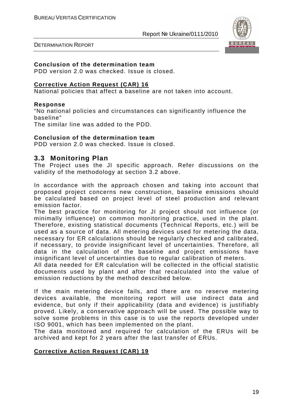

DETERMINATION REPORT

#### **Conclusion of the determination team**

PDD version 2.0 was checked. Issue is closed.

#### **Corrective Action Request (CAR) 16**

National policies that affect a baseline are not taken into account.

#### **Response**

"No national policies and circumstances can significantly influence the baseline"

The similar line was added to the PDD.

#### **Conclusion of the determination team**

PDD version 2.0 was checked. Issue is closed.

#### **3.3 Monitoring Plan**

The Project uses the JI specific approach. Refer discussions on the validity of the methodology at section 3.2 above.

In accordance with the approach chosen and taking into account that proposed project concerns new construction, baseline emissions should be calculated based on project level of steel production and relevant emission factor.

The best practice for monitoring for JI project should not influence (or minimally influence) on common monitoring practice, used in the plant. Therefore, existing statistical documents (Technical Reports, etc.) will be used as a source of data. All metering devices used for metering the data, necessary for ER calculations should be regularly checked and calibrated, if necessary, to provide insignificant level of uncertainties. Therefore, all data in the calculation of the baseline and project emissions have insignificant level of uncertainties due to regular calibration of meters.

All data needed for ER calculation will be collected in the official statistic documents used by plant and after that recalculated into the value of emission reductions by the method described below.

If the main metering device fails, and there are no reserve metering devices available, the monitoring report will use indirect data and evidence, but only if their applicability (data and evidence) is justifiably proved. Likely, a conservative approach will be used. The possible way to solve some problems in this case is to use the reports developed under ISO 9001, which has been implemented on the plant.

The data monitored and required for calculation of the ERUs will be archived and kept for 2 years after the last transfer of ERUs.

#### **Corrective Action Request (CAR) 19**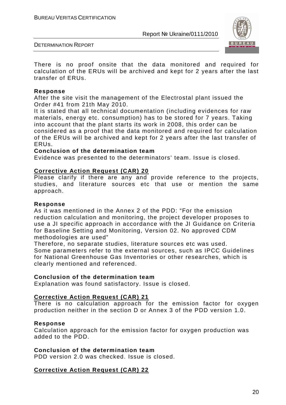

DETERMINATION REPORT

There is no proof onsite that the data monitored and required for calculation of the ERUs will be archived and kept for 2 years after the last transfer of ERUs.

#### **Response**

After the site visit the management of the Electrostal plant issued the Order #41 from 21th May 2010.

It is stated that all technical documentation (including evidences for raw materials, energy etc. consumption) has to be stored for 7 years. Taking into account that the plant starts its work in 2008, this order can be considered as a proof that the data monitored and required for calculation of the ERUs will be archived and kept for 2 years after the last transfer of ERUs.

#### **Conclusion of the determination team**

Evidence was presented to the determinators' team. Issue is closed.

#### **Corrective Action Request (CAR) 20**

Please clarify if there are any and provide reference to the projects, studies, and literature sources etc that use or mention the same approach.

#### **Response**

As it was mentioned in the Annex 2 of the PDD: "For the emission reduction calculation and monitoring, the project developer proposes to use a JI specific approach in accordance with the JI Guidance on Criteria for Baseline Setting and Monitoring, Version 02. No approved CDM methodologies are used"

Therefore, no separate studies, literature sources etc was used. Some parameters refer to the external sources, such as IPCC Guidelines for National Greenhouse Gas Inventories or other researches, which is clearly mentioned and referenced.

#### **Conclusion of the determination team**

Explanation was found satisfactory. Issue is closed.

#### **Corrective Action Request (CAR) 21**

There is no calculation approach for the emission factor for oxygen production neither in the section D or Annex 3 of the PDD version 1.0.

#### **Response**

Calculation approach for the emission factor for oxygen production was added to the PDD.

#### **Conclusion of the determination team**

PDD version 2.0 was checked. Issue is closed.

#### **Corrective Action Request (CAR) 22**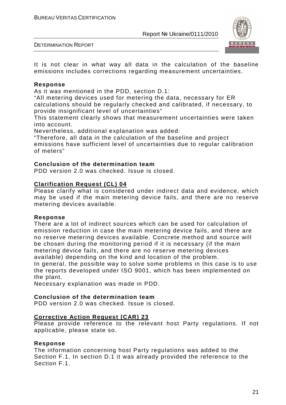

DETERMINATION REPORT

It is not clear in what way all data in the calculation of the baseline emissions includes corrections regarding measurement uncertainties.

#### **Response**

As it was mentioned in the PDD, section D.1:

"All metering devices used for metering the data, necessary for ER calculations should be regularly checked and calibrated, if necessary, to provide insignificant level of uncertainties"

This statement clearly shows that measurement uncertainties were taken into account.

Nevertheless, additional explanation was added:

"Therefore, all data in the calculation of the baseline and project emissions have sufficient level of uncertainties due to regular calibration of meters"

#### **Conclusion of the determination team**

PDD version 2.0 was checked. Issue is closed.

#### **Clarification Request (CL) 04**

Please clarify what is considered under indirect data and evidence, which may be used if the main metering device fails, and there are no reserve metering devices available.

#### **Response**

There are a lot of indirect sources which can be used for calculation of emission reduction in case the main metering device fails, and there are no reserve metering devices available. Concrete method and source will be chosen during the monitoring period if it is necessary (if the main metering device fails, and there are no reserve metering devices available) depending on the kind and location of the problem.

In general, the possible way to solve some problems in this case is to use the reports developed under ISO 9001, which has been implemented on the plant.

Necessary explanation was made in PDD.

#### **Conclusion of the determination team**

PDD version 2.0 was checked. Issue is closed.

#### **Corrective Action Request (CAR) 23**

Please provide reference to the relevant host Party regulations. If not applicable, please state so.

#### **Response**

The information concerning host Party regulations was added to the Section F.1. In section D.1 it was already provided the reference to the Section F.1.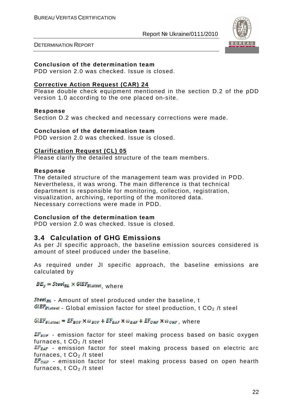

DETERMINATION REPORT

#### **Conclusion of the determination team**

PDD version 2.0 was checked. Issue is closed.

#### **Corrective Action Request (CAR) 24**

Please double check equipment mentioned in the section D.2 of the pDD version 1.0 according to the one placed on-site.

#### **Response**

Section D.2 was checked and necessary corrections were made.

#### **Conclusion of the determination team**

PDD version 2.0 was checked. Issue is closed.

#### **Clarification Request (CL) 05**

Please clarify the detailed structure of the team members.

#### **Response**

The detailed structure of the management team was provided in PDD. Nevertheless, it was wrong. The main difference is that technical department is responsible for monitoring, collection, registration, visualization, archiving, reporting of the monitored data. Necessary corrections were made in PDD.

#### **Conclusion of the determination team**

PDD version 2.0 was checked. Issue is closed.

#### **3.4 Calculation of GHG Emissions**

As per JI specific approach, the baseline emission sources considered is amount of steel produced under the baseline.

As required under JI specific approach, the baseline emissions are calculated by

 $BE_v = Steel_{BL} \times GlEF_{Bl,stel}$ , where

 $Steel_{BL}$  - Amount of steel produced under the baseline, t  $GLEF_{Bl,step1}$  - Global emission factor for steel production, t CO<sub>2</sub> /t steel

 $GLEF_{Bl,seed} = EF_{BOF} \times \omega_{BOF} + EF_{BAF} \times \omega_{BAF} + EF_{OHF} \times \omega_{OHF}$ , where

 $EF_{BOF}$  - emission factor for steel making process based on basic oxygen furnaces,  $t CO<sub>2</sub> /t$  steel

 $EF_{EAF}$  - emission factor for steel making process based on electric arc furnaces,  $t CO<sub>2</sub> /t$  steel

 $EF<sub>OHF</sub>$  - emission factor for steel making process based on open hearth furnaces,  $t CO<sub>2</sub> /t$  steel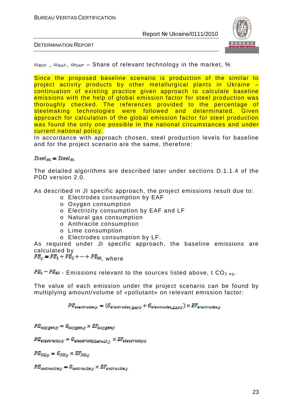

DETERMINATION REPORT

 $\omega_{\text{BOF}}$ ,  $\omega_{\text{BAF}}$ ,  $\omega_{\text{OHF}}$  – Share of relevant technology in the market, %

Since the proposed baseline scenario is production of the similar to project activity products by other metallurgical plants in Ukraine – continuation of existing practice given approach to calculate baseline emissions with the help of global emission factor for steel production was thoroughly checked. The references provided to the percentage of steelmaking technologies were followed and determinated. Given approach for calculation of the global emission factor for steel production was found the only one possible in the national circumstances and under current national policy.

In accordance with approach chosen, steel production levels for baseline and for the project scenario are the same, therefore:

#### $Steel_{BL} = Steel_{PL}$

The detailed algorithms are described later under sections D.1.1.4 of the PDD version 2.0.

As described in JI specific approach, the project emissions result due to:

- o Electrodes consumption by EAF
- o Oxygen consumption
- o Electricity consumption by EAF and LF
- o Natural gas consumption
- o Anthracite consumption
- o Lime consumption
- o Electrodes consumption by LF.

As required under JI specific approach, the baseline emissions are calculated by

 $PE_y = PE_1 + PE_2 + \cdots + PE_{10}$  where

 $PE_1 - PE_{10}$  - Emissions relevant to the sources listed above, t CO<sub>2 eq</sub>.

The value of each emission under the project scenario can be found by multiplying amount/volume of «pollutant» on relevant emission factor:

 $PE_{electrodes,y} = (G_{electrodes\ RAR,Y} + G_{electrodes\ RAR,Y}) \times EF_{electrodes,y}$ 

 $PE_{oxvgen.v} = G_{oxvgen.v} \times EF_{oxvgen.v}$ 

 $PE_{electrotevav} = G_{electrotevra_{H+IRv}} \times EF_{electrotevav}$ 

 $PE_{NGN} = G_{NGN} \times EF_{NGN}$ 

 $PE_{antrac{itenv}} = G_{antrac{itenv}} \times EF_{antrac{itenv}}$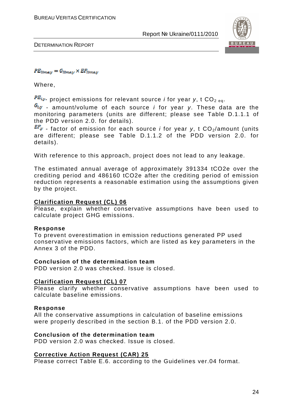

DETERMINATION REPORT

#### $PE_{limew} = G_{limew} \times EF_{limew}$

Where,

 $PE_{i,y}$  project emissions for relevant source *i* for year y, t CO<sub>2 eq</sub>.

 $G_{i,y}$  - amount/volume of each source *i* for year y. These data are the monitoring parameters (units are different; please see Table D.1.1.1 of the PDD version 2.0. for details).

 $EF_{\mathcal{Y}}$  - factor of emission for each source *i* for year y, t CO<sub>2</sub>/amount (units are different; please see Table D.1.1.2 of the PDD version 2.0. for details).

With reference to this approach, project does not lead to any leakage.

The estimated annual average of approximately 391334 tCO2e over the crediting period and 486160 tCO2e after the crediting period of emission reduction represents a reasonable estimation using the assumptions given by the project.

#### **Clarification Request (CL) 06**

Please, explain whether conservative assumptions have been used to calculate project GHG emissions.

#### **Response**

To prevent overestimation in emission reductions generated PP used conservative emissions factors, which are listed as key parameters in the Annex 3 of the PDD.

#### **Conclusion of the determination team**

PDD version 2.0 was checked. Issue is closed.

#### **Clarification Request (CL) 07**

Please clarify whether conservative assumptions have been used to calculate baseline emissions.

#### **Response**

All the conservative assumptions in calculation of baseline emissions were properly described in the section B.1. of the PDD version 2.0.

#### **Conclusion of the determination team**

PDD version 2.0 was checked. Issue is closed.

#### **Corrective Action Request (CAR) 25**

Please correct Table E.6. according to the Guidelines ver.04 format.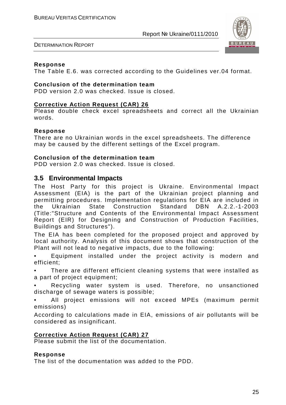

DETERMINATION REPORT

#### **Response**

The Table E.6. was corrected according to the Guidelines ver.04 format.

#### **Conclusion of the determination team**

PDD version 2.0 was checked. Issue is closed.

#### **Corrective Action Request (CAR) 26**

Please double check excel spreadsheets and correct all the Ukrainian words.

#### **Response**

There are no Ukrainian words in the excel spreadsheets. The difference may be caused by the different settings of the Excel program.

#### **Conclusion of the determination team**

PDD version 2.0 was checked. Issue is closed.

#### **3.5 Environmental Impacts**

The Host Party for this project is Ukraine. Environmental Impact Assessment (EIA) is the part of the Ukrainian project planning and permitting procedures. Implementation regulations for EIA are included in the Ukrainian State Construction Standard DBN A.2.2.-1-2003 (Title:"Structure and Contents of the Environmental Impact Assessment Report (EIR) for Designing and Construction of Production Facilities, Buildings and Structures").

The EIA has been completed for the proposed project and approved by local authority. Analysis of this document shows that construction of the Plant will not lead to negative impacts, due to the following:

• Equipment installed under the project activity is modern and efficient;

There are different efficient cleaning systems that were installed as a part of project equipment;

• Recycling water system is used. Therefore, no unsanctioned discharge of sewage waters is possible:

• All project emissions will not exceed MPEs (maximum permit emissions)

According to calculations made in EIA, emissions of air pollutants will be considered as insignificant.

#### **Corrective Action Request (CAR) 27**

Please submit the list of the documentation.

#### **Response**

The list of the documentation was added to the PDD.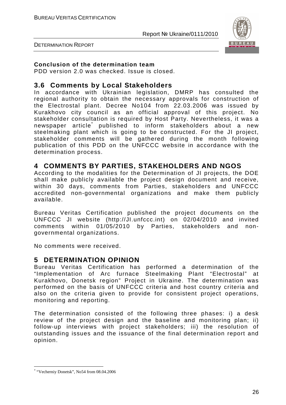

DETERMINATION REPORT

#### **Conclusion of the determination team**

PDD version 2.0 was checked. Issue is closed.

#### **3.6 Comments by Local Stakeholders**

In accordance with Ukrainian legislation, DMRP has consulted the regional authority to obtain the necessary approvals for construction of the Electrostal plant. Decree No104 from 22.03.2006 was issued by Kurakhovo city council as an official approval of this project. No stakeholder consultation is required by Host Party. Nevertheless, it was a newspaper article\* published to inform stakeholders about a new steelmaking plant which is going to be constructed. For the JI project, stakeholder comments will be gathered during the month following publication of this PDD on the UNFCCC website in accordance with the determination process.

#### **4 COMMENTS BY PARTIES, STAKEHOLDERS AND NGOS**

According to the modalities for the Determination of JI projects, the DOE shall make publicly available the project design document and receive, within 30 days, comments from Parties, stakeholders and UNFCCC accredited non-governmental organizations and make them publicly available.

Bureau Veritas Certification published the project documents on the UNFCCC JI website (http://JI.unfccc.int) on 02/04/2010 and invited comments within 01/05/2010 by Parties, stakeholders and nongovernmental organizations.

No comments were received.

#### **5 DETERMINATION OPINION**

Bureau Veritas Certification has performed a determination of the "Implementation of Arc furnace Steelmaking Plant "Electrostal" at Kurakhovo, Donetsk region" Project in Ukraine. The determination was performed on the basis of UNFCCC criteria and host country criteria and also on the criteria given to provide for consistent project operations, monitoring and reporting.

The determination consisted of the following three phases: i) a desk review of the project design and the baseline and monitoring plan; ii) follow-up interviews with project stakeholders; iii) the resolution of outstanding issues and the issuance of the final determination report and opinion.

 $\overline{a}$ \* "Vecherniy Donetsk", No54 from 08.04.2006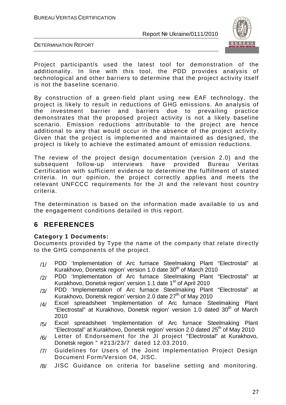

DETERMINATION REPORT

Project participant/s used the latest tool for demonstration of the additionality. In line with this tool, the PDD provides analysis of technological and other barriers to determine that the project activity itself is not the baseline scenario.

By construction of a green-field plant using new EAF technology, the project is likely to result in reductions of GHG emissions. An analysis of the investment barrier and barriers due to prevailing practice demonstrates that the proposed project activity is not a likely baseline scenario. Emission reductions attributable to the project are hence additional to any that would occur in the absence of the project activity. Given that the project is implemented and maintained as designed, the project is likely to achieve the estimated amount of emission reductions.

The review of the project design documentation (version 2.0) and the subsequent follow-up interviews have provided Bureau Veritas Certification with sufficient evidence to determine the fulfillment of stated criteria. In our opinion, the project correctly applies and meets the relevant UNFCCC requirements for the JI and the relevant host country criteria.

The determination is based on the information made available to us and the engagement conditions detailed in this report.

# **6 REFERENCES**

#### **Category 1 Documents:**

Documents provided by Type the name of the company that relate directly to the GHG components of the project.

- /1/ PDD 'Implementation of Arc furnace Steelmaking Plant "Electrostal" at Kurakhovo, Donetsk region' version 1.0 date 30<sup>th</sup> of March 2010
- /2/ PDD 'Implementation of Arc furnace Steelmaking Plant "Electrostal" at Kurakhovo, Donetsk region' version 1.1 date 1<sup>st</sup> of April 2010
- /3/ PDD 'Implementation of Arc furnace Steelmaking Plant "Electrostal" at Kurakhovo, Donetsk region' version 2.0 date  $27<sup>th</sup>$  of May 2010
- /4/ Excel spreadsheet 'Implementation of Arc furnace Steelmaking Plant "Electrostal" at Kurakhovo, Donetsk region' version 1.0 dated 30<sup>th</sup> of March 2010
- /5/ Excel spreadsheet 'Implementation of Arc furnace Steelmaking Plant "Electrostal" at Kurakhovo, Donetsk region' version 2.0 dated 25<sup>th</sup> of May 2010
- /6/ Letter of Endorsement for the JI project "Electrostal" at Kurakhovo, Donetsk region " #213/23/7 dated 12.03.2010.
- /7/ Guidelines for Users of the Joint Implementation Project Design Document Form/Version 04, JISC.
- /8/ JISC Guidance on criteria for baseline setting and monitoring.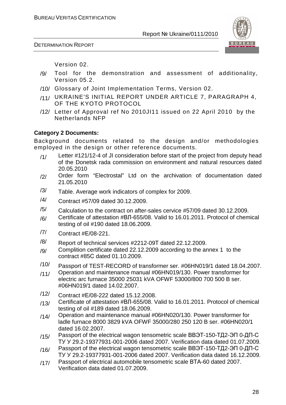DETERMINATION REPORT



Version 02.

- /9/ Tool for the demonstration and assessment of additionality, Version 05.2.
- /10/ Glossary of Joint Implementation Terms, Version 02.
- /11/ UKRAINE'S INITIAL REPORT UNDER ARTICLE 7, PARAGRAPH 4, OF THE KYOTO PROTOCOL
- /12/ Letter of Approval ref No 2010JI11 issued on 22 April 2010 by the Netherlands NFP

#### **Category 2 Documents:**

Background documents related to the design and/or methodologies employed in the design or other reference documents.

- /1/ Letter #121/12-4 of JI consideration before start of the project from deputy head of the Donetsk rada commission on environment and natural resources dated 20.05.2010
- /2/ Order form "Electrostal" Ltd on the archivation of documentation dated 21.05.2010
- $\frac{1}{3}$  Table. Average work indicators of complex for 2009.
- /4/ Contract #57/09 dated 30.12.2009.
- $/5/$  Calculation to the contract on after-sales cervice #57/09 dated 30.12.2009.
- $/6/$  Certificate of attestation #BJ-655/08. Valid to 16.01.2011. Protocol of chemical testing of oil #190 dated 18.06.2009.
- /7/ Contract #Е/08-221.
- /8/ Report of technical services #2212-09Т dated 22.12.2009.
- $/9/$  Complition certificate dated 22.12.2009 according to the annex 1 to the contract #85С dated 01.10.2009.
- /10/ Passport of TEST-RECORD of transformer ser. #06HN019/1 dated 18.04.2007.
- /11/ Operation and maintenance manual #06HN019/130. Power transformer for electric arc furnace 35000 25031 kVA OFWF 53000/800 700 500 B ser. #06HN019/1 dated 14.02.2007.
- /12/ Contract #Е/08-222 dated 15.12.2008.
- /13/ Certificate of attestation #ВЛ-655/08. Valid to 16.01.2011. Protocol of chemical testing of oil #189 dated 18.06.2009.
- /14/ Operation and maintenance manual #06HN020/130. Power transformer for ladle furnace 8000 3829 kVA OFWF 35000/280 250 120 B ser. #06HN020/1 dated 16.02.2007.
- /15/ Passport of the electrical wagon tensometric scale ВВЭТ-150-ТД2-ЭП 0-ДП-С ТУ У 29.2-19377931-001-2006 dated 2007. Verification data dated 01.07.2009.
- /16/ Passport of the electrical wagon tensometric scale ВВЭТ-150-ТД2-ЭП 0-ДП-С ТУ У 29.2-19377931-001-2006 dated 2007. Verification data dated 16.12.2009.
- /17/ Passport of electrical automobile tensometric scale ВТА-60 dated 2007. Verification data dated 01.07.2009.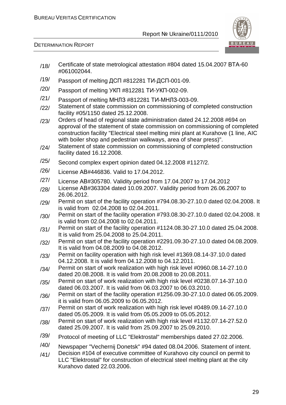

- /18/ Certificate of state metrological attestation #804 dated 15.04.2007 ВТА-60 #061002044.
- /19/ Passport of melting ДСП #812281 ТИ-ДСП-001-09.
- /20/ Passport of melting УКП #812281 ТИ-УКП-002-09.
- /21/ Passport of melting МНЛЗ #812281 ТИ-МНЛЗ-003-09.
- /22/ Statement of state commission on commissioning of completed construction facility #05/1150 dated 25.12.2008.
- /23/ Orders of head of regional state administration dated 24.12.2008 #694 on approval of the statement of state commission on commissioning of completed construction facility "Electrical steel melting mini plant at Kurahove (1 line, AIC with boiler shop and pedestrian walkways, area of shear press)".
- /24/ Statement of state commission on commissioning of completed construction facility dated 16.12.2008.
- /25/ Second complex expert opinion dated 04.12.2008 #1127/2.
- /26/ License АВ#446836. Valid to 17.04.2012.
- /27/ License АВ#305780. Validity period from 17.04.2007 to 17.04.2012
- /28/ License АВ#363304 dated 10.09.2007. Validity period from 26.06.2007 to 26.06.2012.
- $/29/$  Permit on start of the facility operation #794.08.30-27.10.0 dated 02.04.2008. It is valid from 02.04.2008 to 02.04.2011.
- /30/ Permit on start of the facility operation #793.08.30-27.10.0 dated 02.04.2008. It is valid from 02.04.2008 to 02.04.2011.
- $/31/$  Permit on start of the facility operation #1124.08.30-27.10.0 dated 25.04.2008. It is valid from 25.04.2008 to 25.04.2011.
- /32/ Permit on start of the facility operation #2291.09.30-27.10.0 dated 04.08.2009. It is valid from 04.08.2009 to 04.08.2012.
- /33/ Permit on facility operation with high risk level #1369.08.14-37.10.0 dated 04.12.2008. It is valid from 04.12.2008 to 04.12.2011.
- /34/ Permit on start of work realization with high risk level #0960.08.14-27.10.0 dated 20.08.2008. It is valid from 20.08.2008 to 20.08.2011.
- /35/ Permit on start of work realization with high risk level #0238.07.14-37.10.0 dated 06.03.2007. It is valid from 06.03.2007 to 06.03.2010.
- /36/ Permit on start of the facility operation #1256.09.30-27.10.0 dated 06.05.2009. it is valid from 06.05.2009 to 06.05.2012.
- /37/ Permit on start of work realization with high risk level #0489.09.14-27.10.0 dated 05.05.2009. It is valid from 05.05.2009 to 05.05.2012.
- /38/ Permit on start of work realization with high risk level #1132.07.14-27.52.0 dated 25.09.2007. It is valid from 25.09.2007 to 25.09.2010.
- /39/ Protocol of meeting of LLC "Elektrostal" memberships dated 27.02.2006.
- /40/ Newspaper "Vechernij Donetsk" #94 dated 08.04.2006. Statement of intent.
- $/41/$  Decision #104 of executive committee of Kurahovo city council on permit to LLC "Elektrostal" for construction of electrical steel melting plant at the city Kurahovo dated 22.03.2006.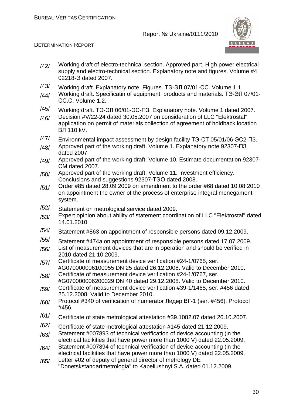

- /42/ Working draft of electro-technical section. Approved part. High power electrical supply and electro-technical section. Explanatory note and figures. Volume #4 02218-Э dated 2007.
- /43/ Working draft. Explanatory note. Figures. ТЭ-ЭЛ 07/01-СС. Volume 1.1.
- /44/ Working draft. Specificatin of equipment, products and materials. ТЭ-ЭЛ 07/01- СС.С. Volume 1.2.
- /45/ Working draft. ТЭ-ЭЛ 06/01-ЭС-ПЗ. Explanatory note. Volume 1 dated 2007.
- /46/ Decision #V/22-24 dated 30.05.2007 on consideration of LLC "Elektrostal" application on permit of materials collection of agreement of holdback location ВЛ 110 kV.
- /47/ Environmental impact assessment by design facility ТЭ-СТ 05/01/06-ЭС2-П3.
- /48/ Approved part of the working draft. Volume 1. Explanatory note 92307-ПЗ dated 2007.
- /49/ Approved part of the working draft. Volume 10. Estimate documentation 92307-СМ dated 2007.
- /50/ Approved part of the working draft. Volume 11. Investment efficiency. Conclusions and suggestions 92307-ТЭО dated 2008.
- /51/ Order #85 dated 28.09.2009 on amendment to the order #68 dated 10.08.2010 on appointment the owner of the process of enterprise integral menegament system.
- /52/ Statement on metrological service dated 2009.
- /53/ Expert opinion about ability of statement coordination of LLC "Elektrostal" dated 14.01.2010.
- /54/ Statement #863 on appointment of responsible persons dated 09.12.2009.
- /55/ Statement #474а on appointment of responsible persons dated 17.07.2009.
- /56/ List of measurement devices that are in operation and should be verified in 2010 dated 21.10.2009.
- /57/ Certificate of measurement device verification #24-1/0765, ser. #G070000006100055 DN 25 dated 26.12.2008. Valid to December 2010.
- /58/ Certificate of measurement device verification #24-1/0767, ser. #G070000006200029 DN 40 dated 29.12.2008. Valid to December 2010.
- /59/ Certificate of measurement device verification #39-1/1465, ser. #456 dated 25.12.2008. Valid to December 2010.
- /60/ Protocol #340 of verification of numerator Лидер ВГ-1 (ser. #456). Protocol #456.
- /61/ Certificate of state metrological attestation #39.1082.07 dated 26.10.2007.
- /62/ Certificate of state metrological attestation #145 dated 21.12.2009.
- /63/ Statement #007893 of technical verification of device accounting (in the electrical facikities that have power more than 1000 V) dated 22.05.2009.
- /64/ Statement #007894 of technical verification of device accounting (in the electrical facikities that have power more than 1000 V) dated 22.05.2009.
- /65/ Letter #02 of deputy of general director of metrology DE "Donetskstandartmetrologia" to Kapeliushnyi S.A. dated 01.12.2009.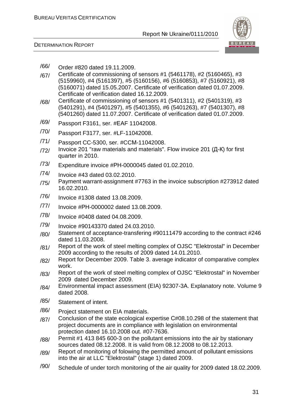

- /66/ Order #820 dated 19.11.2009.
- /67/ Certificate of commissioning of sensors #1 (5461178), #2 (5160465), #3 (5159960), #4 (5161397), #5 (5160156), #6 (5160853), #7 (5160921), #8 (5160071) dated 15.05.2007. Certificate of verification dated 01.07.2009. Certificate of verification dated 16.12.2009.
- /68/ Certificate of commissioning of sensors #1 (5401311), #2 (5401319), #3 (5401291), #4 (5401297), #5 (5401355), #6 (5401263), #7 (5401307), #8 (5401260) dated 11.07.2007. Certificate of verification dated 01.07.2009.
- /69/ Passport F3161, ser. #ЕАF 11042008.
- /70/ Passport F3177, ser. #LF-11042008.
- /71/ Passport CC-5300, ser. #CCМ-11042008.
- $/72$ / Invoice 201 "raw materials and materials". Flow invoice 201 ( $\mu$ -K) for first quarter in 2010.
- /73/ Expenditure invoice #РН-0000045 dated 01.02.2010.
- /74/ Invoice #43 dated 03.02.2010.
- /75/ Payment warrant-assignment #7763 in the invoice subscription #273912 dated 16.02.2010.
- /76/ Invoice #1308 dated 13.08.2009.
- /77/ Invoice #РН-0000002 dated 13.08.2009.
- /78/ Invoice #0408 dated 04.08.2009.
- /79/ Invoice #90143370 dated 24.03.2010.
- /80/ Statement of acceptance-transfering #90111479 according to the contract #246 dated 11.03.2008.
- /81/ Report of the work of steel melting complex of OJSC "Elektrostal" in December 2009 according to the results of 2009 dated 14.01.2010.
- /82/ Report for December 2009. Table 3. average indicator of comparative complex work.
- /83/ Report of the work of steel melting complex of OJSC "Elektrostal" in November 2009 dated December 2009.
- /84/ Environmental impact assessment (EIA) 92307-3А. Explanatory note. Volume 9 dated 2008.
- /85/ Statement of intent.
- /86/ Project statement on EIA materials.
- /87/ Conclusion of the state ecological expertise С#08.10.298 of the statement that project documents are in compliance with legislation on environmental protection dated 16.10.2008 out. #07-7636.
- /88/ Permit #1 413 845 600-3 on the pollutant emissions into the air by stationary sources dated 08.12.2008. It is valid from 08.12.2008 to 08.12.2013.
- /89/ Report of monitoring of folowing the permitted amount of pollutant emissions into the air at LLC "Elektrostal" (stage 1) dated 2009.
- /90/ Schedule of under torch monitoring of the air quality for 2009 dated 18.02.2009.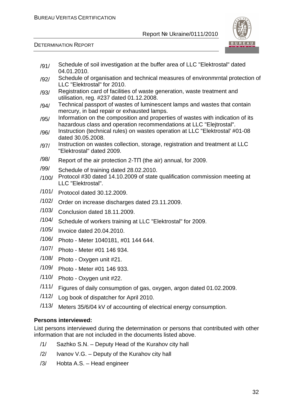

DETERMINATION REPORT

- /91/ Schedule of soil investigation at the buffer area of LLC "Elektrostal" dated 04.01.2010.
- /92/ Schedule of organisation and technical measures of environmrntal protection of LLC "Elektrostal" for 2010.
- /93/ Registration card of facilities of waste generation, waste treatment and utilisation, reg. #237 dated 01.12.2008.
- /94/ Technical passport of wastes of luminescent lamps and wastes that contain mercury, in bad repair or exhausted lamps.
- $/95/$  Information on the composition and properties of wastes with indication of its hazardous class and operation recommendations at LLC "Elejtrostal".
- /96/ Instruction (technical rules) on wastes operation at LLC "Elektrostal' #01-08 dated 30.05.2008.
- /97/ Instruction on wastes collection, storage, registration and treatment at LLC "Elektrostal" dated 2009.
- $\frac{1}{98}$  Report of the air protection 2-TN (the air) annual, for 2009.
- /99/ Schedule of training dated 28.02.2010.
- /100/ Protocol #30 dated 14.10.2009 of state qualification commission meeting at LLC "Elektrostal".
- /101/ Protocol dated 30.12.2009.
- /102/ Order on increase discharges dated 23.11.2009.
- /103/ Conclusion dated 18.11.2009.
- /104/ Schedule of workers training at LLC "Elektrostal" for 2009.
- /105/ Invoice dated 20.04.2010.
- /106/ Photo Meter 1040181, #01 144 644.
- /107/ Photo Meter #01 146 934.
- /108/ Photo Oxygen unit #21.
- /109/ Photo Meter #01 146 933.
- /110/ Photo Oxygen unit #22.
- /111/ Figures of daily consumption of gas, oxygen, argon dated 01.02.2009.
- /112/ Log book of dispatcher for April 2010.
- /113/ Meters 35/6/04 kV of accounting of electrical energy consumption.

#### **Persons interviewed:**

List persons interviewed during the determination or persons that contributed with other information that are not included in the documents listed above.

- /1/ Sazhko S.N. Deputy Head of the Kurahov city hall
- /2/ Ivanov V.G. Deputy of the Kurahov city hall
- /3/ Hobta A.S. Head engineer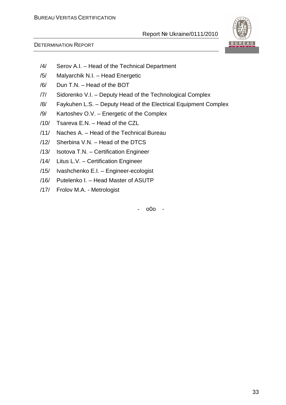

#### DETERMINATION REPORT

- /4/ Serov A.I. Head of the Technical Department
- /5/ Malyarchik N.I. Head Energetic
- /6/ Dun T.N. Head of the BOT
- /7/ Sidorenko V.I. Deputy Head of the Technological Complex
- /8/ Faykuhen L.S. Deputy Head of the Electrical Equipment Complex
- /9/ Kartoshev O.V. Energetic of the Complex
- /10/ Tsareva E.N. Head of the CZL
- /11/ Naches A. Head of the Technical Bureau
- /12/ Sherbina V.N. Head of the DTCS
- /13/ Isotova T.N. Certification Engineer
- /14/ Litus L.V. Certification Engineer
- /15/ Ivashchenko E.I. Engineer-ecologist
- /16/ Putelenko I. Head Master of ASUTP
- /17/ Frolov M.A. Metrologist

- o0o -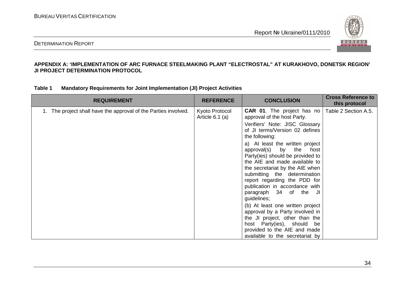

#### DETERMINATION REPORT

#### **APPENDIX A: 'IMPLEMENTATION OF ARC FURNACE STEELMAKING PLANT "ELECTROSTAL" AT KURAKHOVO, DONETSK REGION' JI PROJECT DETERMINATION PROTOCOL**

| Table 1 | Mandatory Requirements for Joint Implementation (JI) Project Activities |  |  |
|---------|-------------------------------------------------------------------------|--|--|
|---------|-------------------------------------------------------------------------|--|--|

| <b>REQUIREMENT</b>                                              | <b>REFERENCE</b>                    | <b>CONCLUSION</b>                                                                                                                                                                                                                                                                                                                                                                                                                                                                                                                                                                                                                                                                    | <b>Cross Reference to</b><br>this protocol |
|-----------------------------------------------------------------|-------------------------------------|--------------------------------------------------------------------------------------------------------------------------------------------------------------------------------------------------------------------------------------------------------------------------------------------------------------------------------------------------------------------------------------------------------------------------------------------------------------------------------------------------------------------------------------------------------------------------------------------------------------------------------------------------------------------------------------|--------------------------------------------|
| 1. The project shall have the approval of the Parties involved. | Kyoto Protocol<br>Article $6.1$ (a) | <b>CAR 01.</b> The project has no<br>approval of the host Party.<br>Verifiers' Note: JISC Glossary<br>of JI terms/Version 02 defines<br>the following:<br>a) At least the written project<br>approval(s) by the<br>host<br>Party(ies) should be provided to<br>the AIE and made available to<br>the secretariat by the AIE when<br>submitting the determination<br>report regarding the PDD for<br>publication in accordance with<br>paragraph 34 of the JI<br>guidelines;<br>(b) At least one written project<br>approval by a Party involved in<br>the JI project, other than the<br>host Party(ies), should be<br>provided to the AIE and made<br>available to the secretariat by | Table 2 Section A.5.                       |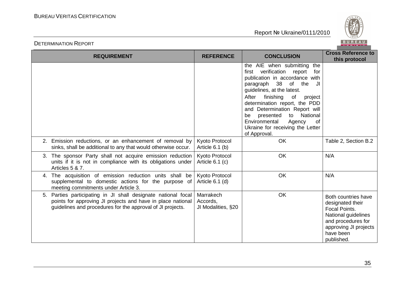

| <b>REQUIREMENT</b>                                                                                                                                                                            | <b>REFERENCE</b>                            | <b>CONCLUSION</b>                                                                                                                                                                                                                                                                                                                                                                                  | <b>Cross Reference to</b><br>this protocol                                                                                                                       |
|-----------------------------------------------------------------------------------------------------------------------------------------------------------------------------------------------|---------------------------------------------|----------------------------------------------------------------------------------------------------------------------------------------------------------------------------------------------------------------------------------------------------------------------------------------------------------------------------------------------------------------------------------------------------|------------------------------------------------------------------------------------------------------------------------------------------------------------------|
|                                                                                                                                                                                               |                                             | the AIE when submitting<br>the<br>first verification report<br>for<br>publication in accordance with<br>paragraph 38 of the<br>IJ<br>guidelines, at the latest.<br>After<br>finishing<br>of<br>project<br>determination report, the PDD<br>and Determination Report will<br>National<br>presented<br>to<br>be<br>Environmental<br>Agency<br>0f<br>Ukraine for receiving the Letter<br>of Approval. |                                                                                                                                                                  |
| 2. Emission reductions, or an enhancement of removal by<br>sinks, shall be additional to any that would otherwise occur.                                                                      | Kyoto Protocol<br>Article $6.1$ (b)         | <b>OK</b>                                                                                                                                                                                                                                                                                                                                                                                          | Table 2, Section B.2                                                                                                                                             |
| The sponsor Party shall not acquire emission reduction<br>3.<br>units if it is not in compliance with its obligations under<br>Articles 5 & 7.                                                | Kyoto Protocol<br>Article $6.1$ (c)         | OK                                                                                                                                                                                                                                                                                                                                                                                                 | N/A                                                                                                                                                              |
| The acquisition of emission reduction units shall be<br>4.<br>supplemental to domestic actions for the purpose of<br>meeting commitments under Article 3.                                     | Kyoto Protocol<br>Article $6.1$ (d)         | <b>OK</b>                                                                                                                                                                                                                                                                                                                                                                                          | N/A                                                                                                                                                              |
| Parties participating in JI shall designate national focal<br>5.<br>points for approving JI projects and have in place national<br>guidelines and procedures for the approval of JI projects. | Marrakech<br>Accords.<br>JI Modalities, §20 | <b>OK</b>                                                                                                                                                                                                                                                                                                                                                                                          | Both countries have<br>designated their<br><b>Focal Points.</b><br>National guidelines<br>and procedures for<br>approving JI projects<br>have been<br>published. |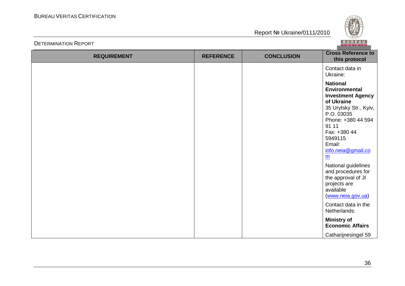

| <b>REQUIREMENT</b> | <b>REFERENCE</b> | <b>CONCLUSION</b> | <b>Cross Reference to</b><br>this protocol                                                                                                                                                                                                                                                                                                                  |
|--------------------|------------------|-------------------|-------------------------------------------------------------------------------------------------------------------------------------------------------------------------------------------------------------------------------------------------------------------------------------------------------------------------------------------------------------|
|                    |                  |                   | Contact data in<br>Ukraine:                                                                                                                                                                                                                                                                                                                                 |
|                    |                  |                   | <b>National</b><br><b>Environmental</b><br><b>Investment Agency</b><br>of Ukraine<br>35 Urytsky Str., Kyiv,<br>P.O. 03035<br>Phone: +380 44 594<br>91 11<br>Fax: +380 44<br>5949115<br>Email:<br>info.neia@gmail.co<br>$\underline{m}$<br>National guidelines<br>and procedures for<br>the approval of JI<br>projects are<br>available<br>(www.neia.gov.ua) |
|                    |                  |                   | Contact data in the<br>Netherlands:                                                                                                                                                                                                                                                                                                                         |
|                    |                  |                   | <b>Ministry of</b><br><b>Economic Affairs</b>                                                                                                                                                                                                                                                                                                               |
|                    |                  |                   | Catharijnesingel 59                                                                                                                                                                                                                                                                                                                                         |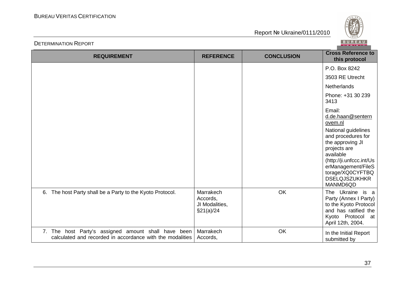



| <b>REQUIREMENT</b>                                                                                               | <b>REFERENCE</b>                                      | <b>CONCLUSION</b> | <b>Cross Reference to</b><br>this protocol                                                                                                                                                                                                     |
|------------------------------------------------------------------------------------------------------------------|-------------------------------------------------------|-------------------|------------------------------------------------------------------------------------------------------------------------------------------------------------------------------------------------------------------------------------------------|
|                                                                                                                  |                                                       |                   | P.O. Box 8242                                                                                                                                                                                                                                  |
|                                                                                                                  |                                                       |                   | 3503 RE Utrecht                                                                                                                                                                                                                                |
|                                                                                                                  |                                                       |                   | <b>Netherlands</b>                                                                                                                                                                                                                             |
|                                                                                                                  |                                                       |                   | Phone: +31 30 239<br>3413                                                                                                                                                                                                                      |
|                                                                                                                  |                                                       |                   | Email:<br>d.de.haan@sentern<br>ovem.nl<br>National guidelines<br>and procedures for<br>the approving JI<br>projects are<br>available<br>(http://ji.unfccc.int/Us<br>erManagement/FileS<br>torage/XQ0CYFTBQ<br><b>DSELQJSZUKHKR</b><br>MANMD6QD |
| 6. The host Party shall be a Party to the Kyoto Protocol.                                                        | Marrakech<br>Accords,<br>JI Modalities,<br>\$21(a)/24 | OK                | The Ukraine is a<br>Party (Annex I Party)<br>to the Kyoto Protocol<br>and has ratified the<br>Kyoto Protocol at<br>April 12th, 2004.                                                                                                           |
| 7. The host Party's assigned amount shall have been<br>calculated and recorded in accordance with the modalities | Marrakech<br>Accords,                                 | OK                | In the Initial Report<br>submitted by                                                                                                                                                                                                          |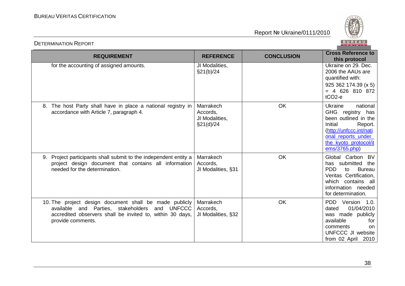



| <b>REQUIREMENT</b>                                                                                                                                                                         | <b>REFERENCE</b>                                     | <b>CONCLUSION</b> | <b>Cross Reference to</b><br>this protocol                                                                                                                                       |
|--------------------------------------------------------------------------------------------------------------------------------------------------------------------------------------------|------------------------------------------------------|-------------------|----------------------------------------------------------------------------------------------------------------------------------------------------------------------------------|
| for the accounting of assigned amounts.                                                                                                                                                    | JI Modalities,<br>§21(b)/24                          |                   | Ukraine on 29. Dec.<br>2006 the AAUs are<br>quantified with:<br>925 362 174.39 (x 5)<br>$= 4$ 626 810 872<br>$tCO2-e$                                                            |
| 8. The host Party shall have in place a national registry in<br>accordance with Article 7, paragraph 4.                                                                                    | Marrakech<br>Accords,<br>JI Modalities,<br>§21(d)/24 | OK                | national<br>Ukraine<br>GHG registry has<br>been outlined in the<br>Initial<br>Report.<br>(http://unfccc.int/nati<br>onal reports under<br>the kyoto protocol/it<br>ems/3765.php) |
| 9. Project participants shall submit to the independent entity a<br>project design document that contains all information<br>needed for the determination.                                 | Marrakech<br>Accords,<br>JI Modalities, §31          | OK                | Global Carbon BV<br>has submitted the<br><b>PDD</b><br><b>Bureau</b><br>to<br>Veritas Certification,<br>which contains all<br>information needed<br>for determination.           |
| 10. The project design document shall be made publicly<br>available and Parties, stakeholders and UNFCCC<br>accredited observers shall be invited to, within 30 days,<br>provide comments. | Marrakech<br>Accords.<br>JI Modalities, §32          | OK                | PDD Version 1.0.<br>01/04/2010<br>dated<br>was made publicly<br>available<br>for<br>comments<br><sub>on</sub><br>UNFCCC JI website<br>from 02 April 2010                         |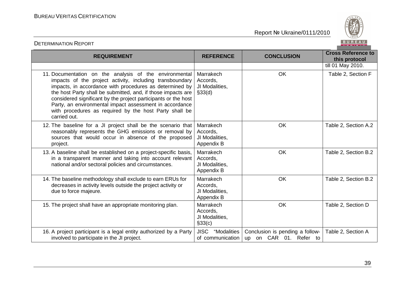

| <b>REQUIREMENT</b>                                                                                                                                                                                                                                                                                                                                                                                                                                   | <b>REFERENCE</b>                                      | <b>CONCLUSION</b>                                         | <b>Cross Reference to</b><br>this protocol |
|------------------------------------------------------------------------------------------------------------------------------------------------------------------------------------------------------------------------------------------------------------------------------------------------------------------------------------------------------------------------------------------------------------------------------------------------------|-------------------------------------------------------|-----------------------------------------------------------|--------------------------------------------|
|                                                                                                                                                                                                                                                                                                                                                                                                                                                      |                                                       |                                                           | till 01 May 2010.                          |
| 11. Documentation on the analysis of the environmental<br>impacts of the project activity, including transboundary<br>impacts, in accordance with procedures as determined by<br>the host Party shall be submitted, and, if those impacts are<br>considered significant by the project participants or the host<br>Party, an environmental impact assessment in accordance<br>with procedures as required by the host Party shall be<br>carried out. | Marrakech<br>Accords,<br>JI Modalities,<br>\$33(d)    | <b>OK</b>                                                 | Table 2, Section F                         |
| 12. The baseline for a JI project shall be the scenario that<br>reasonably represents the GHG emissions or removal by<br>sources that would occur in absence of the proposed<br>project.                                                                                                                                                                                                                                                             | Marrakech<br>Accords,<br>JI Modalities,<br>Appendix B | OK                                                        | Table 2, Section A.2                       |
| 13. A baseline shall be established on a project-specific basis,<br>in a transparent manner and taking into account relevant<br>national and/or sectoral policies and circumstances.                                                                                                                                                                                                                                                                 | Marrakech<br>Accords,<br>JI Modalities,<br>Appendix B | <b>OK</b>                                                 | Table 2, Section B.2                       |
| 14. The baseline methodology shall exclude to earn ERUs for<br>decreases in activity levels outside the project activity or<br>due to force majeure.                                                                                                                                                                                                                                                                                                 | Marrakech<br>Accords,<br>JI Modalities,<br>Appendix B | OK                                                        | Table 2, Section B.2                       |
| 15. The project shall have an appropriate monitoring plan.                                                                                                                                                                                                                                                                                                                                                                                           | Marrakech<br>Accords,<br>JI Modalities,<br>§33(c)     | <b>OK</b>                                                 | Table 2, Section D                         |
| 16. A project participant is a legal entity authorized by a Party<br>involved to participate in the JI project.                                                                                                                                                                                                                                                                                                                                      | <b>JISC</b><br>"Modalities<br>of communication        | Conclusion is pending a follow-<br>up on CAR 01. Refer to | Table 2, Section A                         |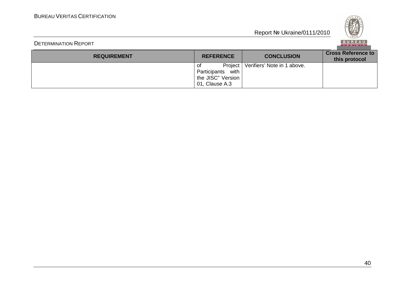

| <b>REQUIREMENT</b> | <b>REFERENCE</b>                                                             | <b>CONCLUSION</b>           | <b>Cross Reference to</b><br>this protocol |
|--------------------|------------------------------------------------------------------------------|-----------------------------|--------------------------------------------|
|                    | Project<br>0f<br>with<br>Participants<br>the JISC" Version<br>01, Clause A.3 | Verifiers' Note in 1 above. |                                            |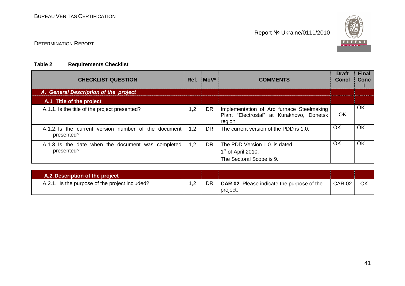

## DETERMINATION REPORT

### **Table 2 Requirements Checklist**

| <b>CHECKLIST QUESTION</b>                                          | Ref. | $MOV^*$   | <b>COMMENTS</b>                                                                                  | <b>Draft</b><br><b>Concl</b> | <b>Final</b><br><b>Conc</b> |
|--------------------------------------------------------------------|------|-----------|--------------------------------------------------------------------------------------------------|------------------------------|-----------------------------|
| A. General Description of the project                              |      |           |                                                                                                  |                              |                             |
| A.1 Title of the project                                           |      |           |                                                                                                  |                              |                             |
| A.1.1. Is the title of the project presented?                      | 1,2  | <b>DR</b> | Implementation of Arc furnace Steelmaking<br>Plant "Electrostal" at Kurakhovo, Donetsk<br>region | <b>OK</b>                    | OK                          |
| A.1.2. Is the current version number of the document<br>presented? | 1,2  | <b>DR</b> | The current version of the PDD is 1.0.                                                           | OK                           | OK                          |
| A.1.3. Is the date when the document was completed<br>presented?   | 1,2  | DR.       | The PDD Version 1.0. is dated<br>$1st$ of April 2010.<br>The Sectoral Scope is 9.                | OK                           | <b>OK</b>                   |

| A.2. Description of the project                |    |    |                                                               |               |    |
|------------------------------------------------|----|----|---------------------------------------------------------------|---------------|----|
| A.2.1. Is the purpose of the project included? | ے. | DR | <b>CAR 02.</b> Please indicate the purpose of the<br>project. | <b>CAR 02</b> | OK |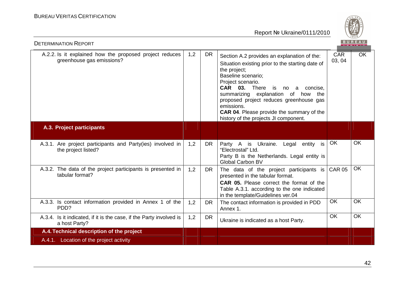

| <b>DETERMINATION REPORT</b>                                                          |     |           |                                                                                                                                                                                                                                                                                                                                                                                                              |               | BUREAU                 |
|--------------------------------------------------------------------------------------|-----|-----------|--------------------------------------------------------------------------------------------------------------------------------------------------------------------------------------------------------------------------------------------------------------------------------------------------------------------------------------------------------------------------------------------------------------|---------------|------------------------|
| A.2.2. Is it explained how the proposed project reduces<br>greenhouse gas emissions? | 1,2 | <b>DR</b> | Section A.2 provides an explanation of the:<br>Situation existing prior to the starting date of<br>the project;<br>Baseline scenario;<br>Project scenario.<br>CAR 03. There<br>is is<br>concise,<br>no<br>a a<br>summarizing explanation of<br>how the<br>proposed project reduces greenhouse gas<br>emissions.<br><b>CAR 04.</b> Please provide the summary of the<br>history of the projects JI component. | CAR<br>03, 04 | $\overline{\text{OK}}$ |
| A.3. Project participants                                                            |     |           |                                                                                                                                                                                                                                                                                                                                                                                                              |               |                        |
| A.3.1. Are project participants and Party(ies) involved in<br>the project listed?    | 1,2 | <b>DR</b> | Party A is Ukraine.<br>Legal entity<br>is<br>"Electrostal" Ltd.<br>Party B is the Netherlands. Legal entity is<br><b>Global Carbon BV</b>                                                                                                                                                                                                                                                                    | OK            | <b>OK</b>              |
| A.3.2. The data of the project participants is presented in<br>tabular format?       | 1,2 | <b>DR</b> | The data of the project participants is<br>presented in the tabular format.<br>CAR 05. Please correct the format of the<br>Table A.3.1. according to the one indicated<br>in the template/Guidelines ver.04                                                                                                                                                                                                  | <b>CAR 05</b> | $\overline{OK}$        |
| A.3.3. Is contact information provided in Annex 1 of the<br>PD <sub>D</sub> ?        | 1,2 | <b>DR</b> | The contact information is provided in PDD<br>Annex 1.                                                                                                                                                                                                                                                                                                                                                       | OK            | <b>OK</b>              |
| A.3.4. Is it indicated, if it is the case, if the Party involved is<br>a host Party? | 1,2 | <b>DR</b> | Ukraine is indicated as a host Party.                                                                                                                                                                                                                                                                                                                                                                        | <b>OK</b>     | <b>OK</b>              |
| A.4. Technical description of the project                                            |     |           |                                                                                                                                                                                                                                                                                                                                                                                                              |               |                        |
| A.4.1. Location of the project activity                                              |     |           |                                                                                                                                                                                                                                                                                                                                                                                                              |               |                        |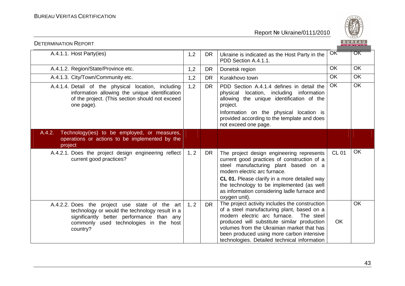

| <b>DETERMINATION REPORT</b>                                                                                                                                                                         |      |           |                                                                                                                                                                                                                                                                                                                                       |              | BUREAU    |
|-----------------------------------------------------------------------------------------------------------------------------------------------------------------------------------------------------|------|-----------|---------------------------------------------------------------------------------------------------------------------------------------------------------------------------------------------------------------------------------------------------------------------------------------------------------------------------------------|--------------|-----------|
| A.4.1.1. Host Party(ies)                                                                                                                                                                            | 1,2  | <b>DR</b> | Ukraine is indicated as the Host Party in the<br>PDD Section A.4.1.1.                                                                                                                                                                                                                                                                 | OK-          | OK        |
| A.4.1.2. Region/State/Province etc.                                                                                                                                                                 | 1,2  | <b>DR</b> | Donetsk region                                                                                                                                                                                                                                                                                                                        | <b>OK</b>    | <b>OK</b> |
| A.4.1.3. City/Town/Community etc.                                                                                                                                                                   | 1,2  | <b>DR</b> | Kurakhovo town                                                                                                                                                                                                                                                                                                                        | <b>OK</b>    | <b>OK</b> |
| A.4.1.4. Detail of the physical location, including<br>information allowing the unique identification<br>of the project. (This section should not exceed<br>one page).                              | 1,2  | <b>DR</b> | PDD Section A.4.1.4 defines in detail the<br>physical location, including information<br>allowing the unique identification of the<br>project.<br>Information on the physical location is<br>provided according to the template and does<br>not exceed one page.                                                                      | <b>OK</b>    | <b>OK</b> |
| A.4.2.<br>Technology(ies) to be employed, or measures,<br>operations or actions to be implemented by the<br>project                                                                                 |      |           |                                                                                                                                                                                                                                                                                                                                       |              |           |
| A.4.2.1. Does the project design engineering reflect<br>current good practices?                                                                                                                     | 1, 2 | <b>DR</b> | The project design engineering represents<br>current good practices of construction of a<br>steel manufacturing plant based on a<br>modern electric arc furnace.<br><b>CL 01.</b> Please clarify in a more detailed way<br>the technology to be implemented (as well<br>as information considering ladle furnace and<br>oxygen unit). | <b>CL 01</b> | <b>OK</b> |
| A.4.2.2. Does the project use state of the art<br>technology or would the technology result in a<br>significantly better performance than any<br>commonly used technologies in the host<br>country? | 1, 2 | <b>DR</b> | The project activity includes the construction<br>of a steel manufacturing plant, based on a<br>modern electric arc furnace. The steel<br>produced will substitute similar production<br>volumes from the Ukrainian market that has<br>been produced using more carbon intensive<br>technologies. Detailed technical information      | <b>OK</b>    | OK        |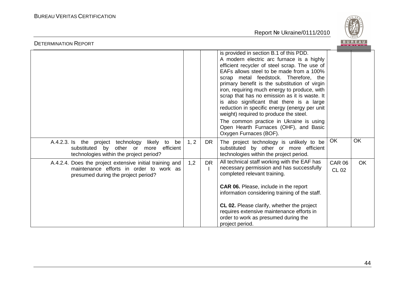

| <b>DETENMINATION INEFONT</b>                                                                                                               |      |           |                                                                                                                                                                                                                                                                                                                                                                                                                                                                                                                                                                                                                                    |                               |           |
|--------------------------------------------------------------------------------------------------------------------------------------------|------|-----------|------------------------------------------------------------------------------------------------------------------------------------------------------------------------------------------------------------------------------------------------------------------------------------------------------------------------------------------------------------------------------------------------------------------------------------------------------------------------------------------------------------------------------------------------------------------------------------------------------------------------------------|-------------------------------|-----------|
|                                                                                                                                            |      |           | is provided in section B.1 of this PDD.<br>A modern electric arc furnace is a highly<br>efficient recycler of steel scrap. The use of<br>EAFs allows steel to be made from a 100%<br>scrap metal feedstock. Therefore, the<br>primary benefit is the substitution of virgin<br>iron, requiring much energy to produce, with<br>scrap that has no emission as it is waste. It<br>is also significant that there is a large<br>reduction in specific energy (energy per unit<br>weight) required to produce the steel.<br>The common practice in Ukraine is using<br>Open Hearth Furnaces (OHF), and Basic<br>Oxygen Furnaces (BOF). |                               |           |
| A.4.2.3. Is the project technology likely<br>be<br>to<br>substituted by other or more efficient<br>technologies within the project period? | 1, 2 | <b>DR</b> | The project technology is unlikely to be<br>substituted by other or more efficient<br>technologies within the project period.                                                                                                                                                                                                                                                                                                                                                                                                                                                                                                      | OK                            | <b>OK</b> |
| A.4.2.4. Does the project extensive initial training and<br>maintenance efforts in order to work as<br>presumed during the project period? | 1,2  | <b>DR</b> | All technical staff working with the EAF has<br>necessary permission and has successfully<br>completed relevant training.<br><b>CAR 06.</b> Please, include in the report<br>information considering training of the staff.<br><b>CL 02.</b> Please clarify, whether the project<br>requires extensive maintenance efforts in<br>order to work as presumed during the<br>project period.                                                                                                                                                                                                                                           | <b>CAR 06</b><br><b>CL 02</b> | <b>OK</b> |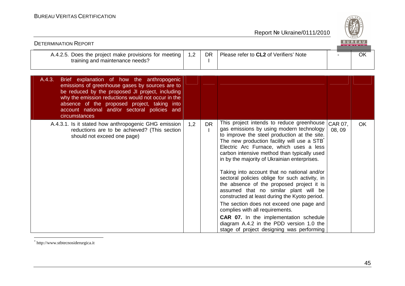

| <b>DETERMINATION REPORT</b>                                                                                                                                                                                                                                                                                                         |     |           |                                                                                                                                                                                                                                                                                                                                                                                                                                                                                                                                                                                                                                                                                                                                                                                                             |                   | <b>BUREAU</b> |
|-------------------------------------------------------------------------------------------------------------------------------------------------------------------------------------------------------------------------------------------------------------------------------------------------------------------------------------|-----|-----------|-------------------------------------------------------------------------------------------------------------------------------------------------------------------------------------------------------------------------------------------------------------------------------------------------------------------------------------------------------------------------------------------------------------------------------------------------------------------------------------------------------------------------------------------------------------------------------------------------------------------------------------------------------------------------------------------------------------------------------------------------------------------------------------------------------------|-------------------|---------------|
| A.4.2.5. Does the project make provisions for meeting<br>training and maintenance needs?                                                                                                                                                                                                                                            | 1,2 | <b>DR</b> | Please refer to CL2 of Verifiers' Note                                                                                                                                                                                                                                                                                                                                                                                                                                                                                                                                                                                                                                                                                                                                                                      |                   | OK            |
| A.4.3.<br>Brief explanation of how the anthropogenic<br>emissions of greenhouse gases by sources are to<br>be reduced by the proposed JI project, including<br>why the emission reductions would not occur in the<br>absence of the proposed project, taking into<br>account national and/or sectoral policies and<br>circumstances |     |           |                                                                                                                                                                                                                                                                                                                                                                                                                                                                                                                                                                                                                                                                                                                                                                                                             |                   |               |
| A.4.3.1. Is it stated how anthropogenic GHG emission<br>reductions are to be achieved? (This section<br>should not exceed one page)                                                                                                                                                                                                 | 1,2 | <b>DR</b> | This project intends to reduce greenhouse<br>gas emissions by using modern technology<br>to improve the steel production at the site.<br>The new production facility will use a STB <sup>*</sup><br>Electric Arc Furnace, which uses a less<br>carbon intensive method than typically used<br>in by the majority of Ukrainian enterprises.<br>Taking into account that no national and/or<br>sectoral policies oblige for such activity, in<br>the absence of the proposed project it is<br>assumed that no similar plant will be<br>constructed at least during the Kyoto period.<br>The section does not exceed one page and<br>complies with all requirements.<br><b>CAR 07.</b> In the implementation schedule<br>diagram A.4.2 in the PDD version 1.0 the<br>stage of project designing was performing | CAR 07,<br>08, 09 | <b>OK</b>     |

\* http://www.stbtecnosiderurgica.it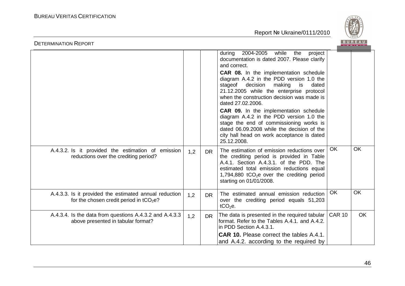

| <b>DETERMINATION REPORT</b>                                                                         |     |           |                                                                                                                                                                                                                                                                                                                                                                                                                                                                                                                                                                                                                 |               | <b>BUREAU</b> |
|-----------------------------------------------------------------------------------------------------|-----|-----------|-----------------------------------------------------------------------------------------------------------------------------------------------------------------------------------------------------------------------------------------------------------------------------------------------------------------------------------------------------------------------------------------------------------------------------------------------------------------------------------------------------------------------------------------------------------------------------------------------------------------|---------------|---------------|
|                                                                                                     |     |           | 2004-2005<br>while the<br>during<br>project<br>documentation is dated 2007. Please clarify<br>and correct.<br>CAR 08. In the implementation schedule<br>diagram A.4.2 in the PDD version 1.0 the<br>decision<br>stageof<br>making is<br>dated<br>21.12.2005 while the enterprise protocol<br>when the construction decision was made is<br>dated 27,02,2006.<br><b>CAR 09.</b> In the implementation schedule<br>diagram A.4.2 in the PDD version 1.0 the<br>stage the end of commissioning works is<br>dated 06.09.2008 while the decision of the<br>city hall head on work acceptance is dated<br>25.12.2008. |               |               |
| A.4.3.2. Is it provided the estimation of emission<br>reductions over the crediting period?         | 1,2 | <b>DR</b> | The estimation of emission reductions over<br>the crediting period is provided in Table<br>A.4.1. Section A.4.3.1. of the PDD. The<br>estimated total emission reductions equal<br>1,794,880 tCO <sub>2</sub> e over the crediting period<br>starting on 01/01/2008.                                                                                                                                                                                                                                                                                                                                            | OK            | <b>OK</b>     |
| A.4.3.3. Is it provided the estimated annual reduction<br>for the chosen credit period in $tCO2e$ ? | 1,2 | <b>DR</b> | The estimated annual emission reduction<br>over the crediting period equals 51,203<br>$tCO2e$ .                                                                                                                                                                                                                                                                                                                                                                                                                                                                                                                 | OK            | <b>OK</b>     |
| A.4.3.4. Is the data from questions A.4.3.2 and A.4.3.3<br>above presented in tabular format?       | 1,2 | <b>DR</b> | The data is presented in the required tabular<br>format. Refer to the Tables A.4.1. and A.4.2.<br>in PDD Section A.4.3.1.<br><b>CAR 10.</b> Please correct the tables A.4.1.                                                                                                                                                                                                                                                                                                                                                                                                                                    | <b>CAR 10</b> | <b>OK</b>     |
|                                                                                                     |     |           | and A.4.2. according to the required by                                                                                                                                                                                                                                                                                                                                                                                                                                                                                                                                                                         |               |               |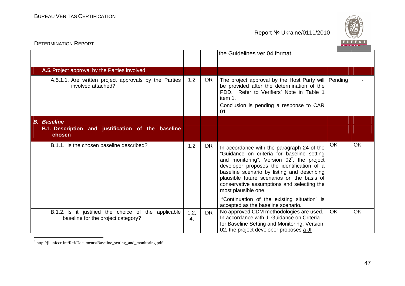

| <b>DETERMINATION REPORT</b>                                                               |            |           |                                                                                                                                                                                                                                                                                                                                                                    |    |           |
|-------------------------------------------------------------------------------------------|------------|-----------|--------------------------------------------------------------------------------------------------------------------------------------------------------------------------------------------------------------------------------------------------------------------------------------------------------------------------------------------------------------------|----|-----------|
|                                                                                           |            |           | the Guidelines ver.04 format.                                                                                                                                                                                                                                                                                                                                      |    |           |
|                                                                                           |            |           |                                                                                                                                                                                                                                                                                                                                                                    |    |           |
| A.5. Project approval by the Parties involved                                             |            |           |                                                                                                                                                                                                                                                                                                                                                                    |    |           |
| A.5.1.1. Are written project approvals by the Parties<br>involved attached?               | 1,2        | <b>DR</b> | The project approval by the Host Party will   Pending<br>be provided after the determination of the<br>PDD. Refer to Verifiers' Note in Table 1<br>item 1.<br>Conclusion is pending a response to CAR<br>01.                                                                                                                                                       |    |           |
| <b>B.</b> Baseline                                                                        |            |           |                                                                                                                                                                                                                                                                                                                                                                    |    |           |
| B.1. Description and justification of the baseline<br>chosen                              |            |           |                                                                                                                                                                                                                                                                                                                                                                    |    |           |
| B.1.1. Is the chosen baseline described?                                                  | 1,2        | <b>DR</b> | In accordance with the paragraph 24 of the<br>"Guidance on criteria for baseline setting<br>and monitoring", Version 02 <sup>*</sup> , the project<br>developer proposes the identification of a<br>baseline scenario by listing and describing<br>plausible future scenarios on the basis of<br>conservative assumptions and selecting the<br>most plausible one. | OK | <b>OK</b> |
|                                                                                           |            |           | "Continuation of the existing situation" is<br>accepted as the baseline scenario.                                                                                                                                                                                                                                                                                  |    |           |
| B.1.2. Is it justified the choice of the applicable<br>baseline for the project category? | 1,2,<br>4, | <b>DR</b> | No approved CDM methodologies are used.<br>In accordance with JI Guidance on Criteria<br>for Baseline Setting and Monitoring, Version<br>02, the project developer proposes a JI                                                                                                                                                                                   | OK | <b>OK</b> |

\* http://ji.unfccc.int/Ref/Documents/Baseline\_setting\_and\_monitoring.pdf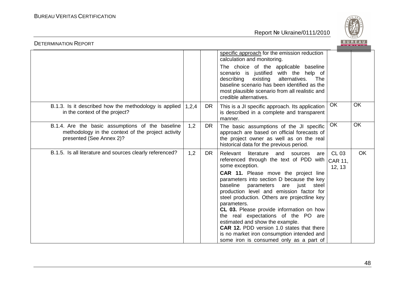

| <b>BUREAU</b><br><b>DETERMINATION REPORT</b>                                                                                       |       |           |                                                                                                                                                                                                                                                                                                                                                                                                                                                                                                                                                                                                                  |                                          |           |  |  |
|------------------------------------------------------------------------------------------------------------------------------------|-------|-----------|------------------------------------------------------------------------------------------------------------------------------------------------------------------------------------------------------------------------------------------------------------------------------------------------------------------------------------------------------------------------------------------------------------------------------------------------------------------------------------------------------------------------------------------------------------------------------------------------------------------|------------------------------------------|-----------|--|--|
|                                                                                                                                    |       |           | specific approach for the emission reduction<br>calculation and monitoring.                                                                                                                                                                                                                                                                                                                                                                                                                                                                                                                                      |                                          |           |  |  |
|                                                                                                                                    |       |           | The choice of the applicable baseline<br>with the help of<br>scenario is justified<br>existing<br>alternatives.<br>describing<br>The<br>baseline scenario has been identified as the<br>most plausible scenario from all realistic and<br>credible alternatives.                                                                                                                                                                                                                                                                                                                                                 |                                          |           |  |  |
| B.1.3. Is it described how the methodology is applied<br>in the context of the project?                                            | 1,2,4 | DR.       | This is a JI specific approach. Its application<br>is described in a complete and transparent<br>manner.                                                                                                                                                                                                                                                                                                                                                                                                                                                                                                         | OK                                       | <b>OK</b> |  |  |
| B.1.4. Are the basic assumptions of the baseline<br>methodology in the context of the project activity<br>presented (See Annex 2)? | 1,2   | <b>DR</b> | The basic assumptions of the JI specific<br>approach are based on official forecasts of<br>the project owner as well as on the real<br>historical data for the previous period.                                                                                                                                                                                                                                                                                                                                                                                                                                  | OK                                       | <b>OK</b> |  |  |
| B.1.5. Is all literature and sources clearly referenced?                                                                           | 1,2   | <b>DR</b> | Relevant<br>literature and sources<br>are<br>referenced through the text of PDD with<br>some exception.<br>CAR 11. Please move the project line<br>parameters into section D because the key<br>baseline parameters are just steel<br>production level and emission factor for<br>steel production. Others are projectline key<br>parameters.<br>CL 03. Please provide information on how<br>the real expectations of the PO are<br>estimated and show the example.<br><b>CAR 12. PDD version 1.0 states that there</b><br>is no market iron consumption intended and<br>some iron is consumed only as a part of | <b>CL 03</b><br><b>CAR 11.</b><br>12, 13 | OK        |  |  |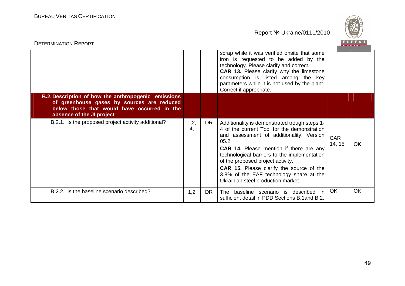

| <b>DETERMINATION REPORT</b>                                                                                                                                                   |            |           |                                                                                                                                                                                                                                                                                                                                                                                                                              |                      |           |
|-------------------------------------------------------------------------------------------------------------------------------------------------------------------------------|------------|-----------|------------------------------------------------------------------------------------------------------------------------------------------------------------------------------------------------------------------------------------------------------------------------------------------------------------------------------------------------------------------------------------------------------------------------------|----------------------|-----------|
|                                                                                                                                                                               |            |           | scrap while it was verified onsite that some<br>iron is requested to be added by the<br>technology. Please clarify and correct.<br><b>CAR 13.</b> Please clarify why the limestone<br>consumption is listed among the key<br>parameters while it is not used by the plant.<br>Correct if appropriate.                                                                                                                        |                      |           |
| B.2. Description of how the anthropogenic emissions<br>of greenhouse gases by sources are reduced<br>below those that would have occurred in the<br>absence of the JI project |            |           |                                                                                                                                                                                                                                                                                                                                                                                                                              |                      |           |
| B.2.1. Is the proposed project activity additional?                                                                                                                           | 1,2,<br>4, | DR.       | Additionality is demonstrated trough steps 1-<br>4 of the current Tool for the demonstration<br>and assessment of additionality, Version<br>05.2.<br><b>CAR 14.</b> Please mention if there are any<br>technological barriers to the implementation<br>of the proposed project activity.<br><b>CAR 15.</b> Please clarify the source of the<br>3.8% of the EAF technology share at the<br>Ukrainian steel production market. | <b>CAR</b><br>14, 15 | <b>OK</b> |
| B.2.2. Is the baseline scenario described?                                                                                                                                    | 1,2        | <b>DR</b> | baseline scenario is described in<br>The .<br>sufficient detail in PDD Sections B.1 and B.2.                                                                                                                                                                                                                                                                                                                                 | OK                   | <b>OK</b> |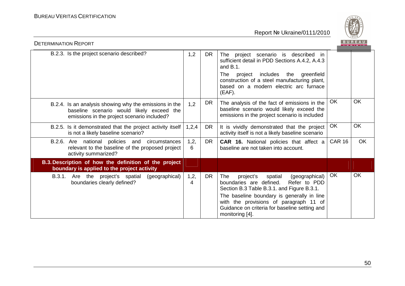

| <b>DETERMINATION REPORT</b>                                                                                                                        |           |           |                                                                                                                                                                                                                                                                                                           |               | <b>BUREAU</b> |
|----------------------------------------------------------------------------------------------------------------------------------------------------|-----------|-----------|-----------------------------------------------------------------------------------------------------------------------------------------------------------------------------------------------------------------------------------------------------------------------------------------------------------|---------------|---------------|
| B.2.3. Is the project scenario described?                                                                                                          | 1,2       | <b>DR</b> | The project scenario is described in<br>sufficient detail in PDD Sections A.4.2, A.4.3<br>and $B.1$ .<br>project includes the greenfield<br>The<br>construction of a steel manufacturing plant,<br>based on a modern electric arc furnace<br>(EAF).                                                       |               |               |
| B.2.4. Is an analysis showing why the emissions in the<br>baseline scenario would likely exceed the<br>emissions in the project scenario included? | 1,2       | DR.       | The analysis of the fact of emissions in the<br>baseline scenario would likely exceed the<br>emissions in the project scenario is included                                                                                                                                                                | OK            | <b>OK</b>     |
| B.2.5. Is it demonstrated that the project activity itself<br>is not a likely baseline scenario?                                                   | 1,2,4     | <b>DR</b> | It is vividly demonstrated that the project<br>activity itself is not a likely baseline scenario                                                                                                                                                                                                          | OK            | <b>OK</b>     |
| B.2.6. Are national policies and circumstances<br>relevant to the baseline of the proposed project<br>activity summarized?                         | 1,2,<br>6 | <b>DR</b> | <b>CAR 16.</b> National policies that affect a<br>baseline are not taken into account.                                                                                                                                                                                                                    | <b>CAR 16</b> | <b>OK</b>     |
| B.3. Description of how the definition of the project<br>boundary is applied to the project activity                                               |           |           |                                                                                                                                                                                                                                                                                                           |               |               |
| Are the project's spatial (geographical)<br>B.3.1.<br>boundaries clearly defined?                                                                  | 1,2,<br>4 | <b>DR</b> | project's<br><b>The</b><br>spatial<br>(geographical)<br>boundaries are defined.<br>Refer to PDD<br>Section B.3 Table B.3.1. and Figure B.3.1.<br>The baseline boundary is generally in line<br>with the provisions of paragraph 11 of<br>Guidance on criteria for baseline setting and<br>monitoring [4]. | OK            | OK            |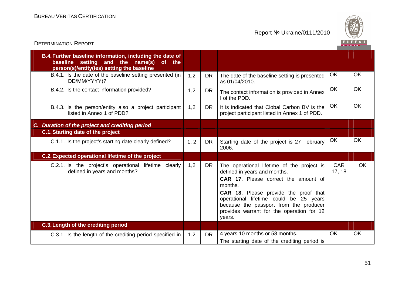

| <b>DETERMINATION REPORT</b>                                                                                                                          |      |           |                                                                                                                                                                                                                                                                                                                          |                      |           |
|------------------------------------------------------------------------------------------------------------------------------------------------------|------|-----------|--------------------------------------------------------------------------------------------------------------------------------------------------------------------------------------------------------------------------------------------------------------------------------------------------------------------------|----------------------|-----------|
| B.4. Further baseline information, including the date of<br>baseline setting and the name(s)<br>of the<br>person(s)/entity(ies) setting the baseline |      |           |                                                                                                                                                                                                                                                                                                                          |                      |           |
| B.4.1. Is the date of the baseline setting presented (in<br>DD/MM/YYYY)?                                                                             | 1,2  | <b>DR</b> | The date of the baseline setting is presented<br>as 01/04/2010.                                                                                                                                                                                                                                                          | <b>OK</b>            | <b>OK</b> |
| B.4.2. Is the contact information provided?                                                                                                          | 1,2  | <b>DR</b> | The contact information is provided in Annex<br>I of the PDD.                                                                                                                                                                                                                                                            | OK                   | <b>OK</b> |
| B.4.3. Is the person/entity also a project participant<br>listed in Annex 1 of PDD?                                                                  | 1,2  | <b>DR</b> | It is indicated that Clobal Carbon BV is the<br>project participant listed in Annex 1 of PDD.                                                                                                                                                                                                                            | OK                   | <b>OK</b> |
| C. Duration of the project and crediting period                                                                                                      |      |           |                                                                                                                                                                                                                                                                                                                          |                      |           |
| <b>C.1. Starting date of the project</b>                                                                                                             |      |           |                                                                                                                                                                                                                                                                                                                          |                      |           |
| C.1.1. Is the project's starting date clearly defined?                                                                                               | 1, 2 | <b>DR</b> | Starting date of the project is 27 February<br>2006.                                                                                                                                                                                                                                                                     | <b>OK</b>            | <b>OK</b> |
| <b>C.2. Expected operational lifetime of the project</b>                                                                                             |      |           |                                                                                                                                                                                                                                                                                                                          |                      |           |
| C.2.1. Is the project's operational lifetime clearly<br>defined in years and months?                                                                 | 1,2  | <b>DR</b> | The operational lifetime of the project is<br>defined in years and months.<br><b>CAR 17.</b> Please correct the amount of<br>months.<br>CAR 18. Please provide the proof that<br>operational lifetime could be 25 years<br>because the passport from the producer<br>provides warrant for the operation for 12<br>years. | <b>CAR</b><br>17, 18 | <b>OK</b> |
| C.3. Length of the crediting period                                                                                                                  |      |           |                                                                                                                                                                                                                                                                                                                          |                      |           |
| C.3.1. Is the length of the crediting period specified in                                                                                            | 1,2  | <b>DR</b> | 4 years 10 months or 58 months.<br>The starting date of the crediting period is                                                                                                                                                                                                                                          | <b>OK</b>            | OK        |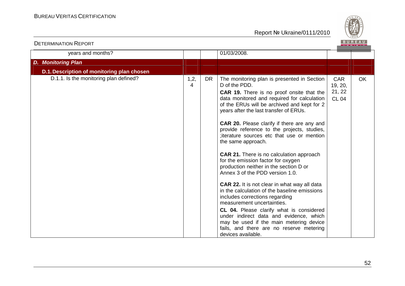

| years and months?                          |           |           | 01/03/2008.                                                                                                                                                                                                                                                                                                                                                                                                                                                                                                                                                                                                                                                                                                                                                                                                                                                                                                                                                           |                                                 |           |
|--------------------------------------------|-----------|-----------|-----------------------------------------------------------------------------------------------------------------------------------------------------------------------------------------------------------------------------------------------------------------------------------------------------------------------------------------------------------------------------------------------------------------------------------------------------------------------------------------------------------------------------------------------------------------------------------------------------------------------------------------------------------------------------------------------------------------------------------------------------------------------------------------------------------------------------------------------------------------------------------------------------------------------------------------------------------------------|-------------------------------------------------|-----------|
| <b>D. Monitoring Plan</b>                  |           |           |                                                                                                                                                                                                                                                                                                                                                                                                                                                                                                                                                                                                                                                                                                                                                                                                                                                                                                                                                                       |                                                 |           |
| D.1. Description of monitoring plan chosen |           |           |                                                                                                                                                                                                                                                                                                                                                                                                                                                                                                                                                                                                                                                                                                                                                                                                                                                                                                                                                                       |                                                 |           |
| D.1.1. Is the monitoring plan defined?     | 1,2,<br>4 | <b>DR</b> | The monitoring plan is presented in Section<br>D of the PDD.<br>CAR 19. There is no proof onsite that the<br>data monitored and required for calculation<br>of the ERUs will be archived and kept for 2<br>years after the last transfer of ERUs.<br><b>CAR 20.</b> Please clarify if there are any and<br>provide reference to the projects, studies,<br>; iterature sources etc that use or mention<br>the same approach.<br><b>CAR 21.</b> There is no calculation approach<br>for the emission factor for oxygen<br>production neither in the section D or<br>Annex 3 of the PDD version 1.0.<br>CAR 22. It is not clear in what way all data<br>in the calculation of the baseline emissions<br>includes corrections regarding<br>measurement uncertainties.<br>CL 04. Please clarify what is considered<br>under indirect data and evidence, which<br>may be used if the main metering device<br>fails, and there are no reserve metering<br>devices available. | <b>CAR</b><br>19, 20,<br>21, 22<br><b>CL 04</b> | <b>OK</b> |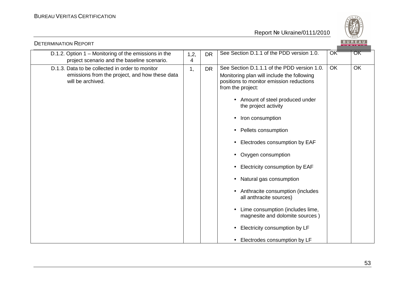

| <b>DETERMINATION REPORT</b>                                                                                            |           |           |                                                                                                                                                                                                                                                                                                                                                                                                                                                                                                                                                                                                                          |           | BUREAU |
|------------------------------------------------------------------------------------------------------------------------|-----------|-----------|--------------------------------------------------------------------------------------------------------------------------------------------------------------------------------------------------------------------------------------------------------------------------------------------------------------------------------------------------------------------------------------------------------------------------------------------------------------------------------------------------------------------------------------------------------------------------------------------------------------------------|-----------|--------|
| D.1.2. Option 1 - Monitoring of the emissions in the<br>project scenario and the baseline scenario.                    | 1,2,<br>4 | <b>DR</b> | See Section D.1.1 of the PDD version 1.0.                                                                                                                                                                                                                                                                                                                                                                                                                                                                                                                                                                                | OK        | OK     |
| D.1.3. Data to be collected in order to monitor<br>emissions from the project, and how these data<br>will be archived. | 1,        | <b>DR</b> | See Section D.1.1.1 of the PDD version 1.0.<br>Monitoring plan will include the following<br>positions to monitor emission reductions<br>from the project:<br>• Amount of steel produced under<br>the project activity<br>Iron consumption<br>Pellets consumption<br>Electrodes consumption by EAF<br>Oxygen consumption<br>Electricity consumption by EAF<br>$\bullet$<br>Natural gas consumption<br>$\bullet$<br>Anthracite consumption (includes<br>all anthracite sources)<br>Lime consumption (includes lime,<br>magnesite and dolomite sources)<br>Electricity consumption by LF<br>• Electrodes consumption by LF | <b>OK</b> | OK     |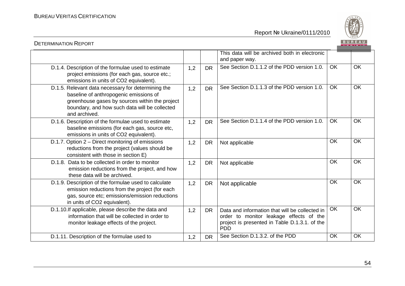DETERMINATION REPORT

Report № Ukraine/0111/2010



#### This data will be archived both in electronic and paper way. D.1.4. Description of the formulae used to estimate project emissions (for each gas, source etc.; emissions in units of CO2 equivalent). 1,2 DR See Section D.1.1.2 of the PDD version 1.0. OK **OK**  D.1.5. Relevant data necessary for determining the baseline of anthropogenic emissions of greenhouse gases by sources within the project boundary, and how such data will be collected and archived. 1.2 DR See Section D.1.1.3 of the PDD version 1.0. OK **OK**  D.1.6. Description of the formulae used to estimate baseline emissions (for each gas, source etc, emissions in units of CO2 equivalent). 1.2 DR See Section D.1.1.4 of the PDD version 1.0. OK **OK** D.1.7. Option 2 – Direct monitoring of emissions reductions from the project (values should be consistent with those in section E) 1,2 DR Not applicable OK **OK**  D.1.8. Data to be collected in order to monitor emission reductions from the project, and how these data will be archived. 1,2 DR Not applicable OK OK D.1.9. Description of the formulae used to calculate emission reductions from the project (for each gas, source etc; emissions/emission reductions in units of CO2 equivalent). $1,2$  DR Not applicable e | OK | OK D.1.10.If applicable, please describe the data and information that will be collected in order to monitor leakage effects of the project.1.2  $\parallel$  DR  $\parallel$  Data and information that will be collected in order to monitor leakage effects of the project is presented in Table D.1.3.1. of the PDD **OK**  OK D.1.11. Description of the formulae used to  $\vert$  1,2 DR See Section D.1.3.2. of the PDD OK **OK**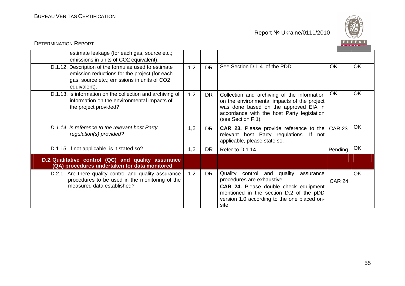

| <b>DETERMINATION REPORT</b>                                                                                                                                          |     |           |                                                                                                                                                                                                                       |               |           |
|----------------------------------------------------------------------------------------------------------------------------------------------------------------------|-----|-----------|-----------------------------------------------------------------------------------------------------------------------------------------------------------------------------------------------------------------------|---------------|-----------|
| estimate leakage (for each gas, source etc.;<br>emissions in units of CO2 equivalent).                                                                               |     |           |                                                                                                                                                                                                                       |               |           |
| D.1.12. Description of the formulae used to estimate<br>emission reductions for the project (for each<br>gas, source etc.; emissions in units of CO2<br>equivalent). | 1,2 | <b>DR</b> | See Section D.1.4. of the PDD                                                                                                                                                                                         | OK            | <b>OK</b> |
| D.1.13. Is information on the collection and archiving of<br>information on the environmental impacts of<br>the project provided?                                    | 1,2 | <b>DR</b> | Collection and archiving of the information<br>on the environmental impacts of the project<br>was done based on the approved EIA in<br>accordance with the host Party legislation<br>(see Section F.1).               | OK            | <b>OK</b> |
| D.1.14. Is reference to the relevant host Party<br>regulation(s) provided?                                                                                           | 1,2 | DR        | <b>CAR 23.</b> Please provide reference to the CAR 23<br>relevant host Party regulations. If not<br>applicable, please state so.                                                                                      |               | <b>OK</b> |
| D.1.15. If not applicable, is it stated so?                                                                                                                          | 1,2 | <b>DR</b> | Refer to D.1.14.                                                                                                                                                                                                      | Pending       | OK        |
| D.2. Qualitative control (QC) and quality assurance<br>(QA) procedures undertaken for data monitored                                                                 |     |           |                                                                                                                                                                                                                       |               |           |
| D.2.1. Are there quality control and quality assurance<br>procedures to be used in the monitoring of the<br>measured data established?                               | 1,2 | <b>DR</b> | Quality<br>control and quality<br>assurance<br>procedures are exhaustive.<br>CAR 24. Please double check equipment<br>mentioned in the section D.2 of the pDD<br>version 1.0 according to the one placed on-<br>site. | <b>CAR 24</b> | <b>OK</b> |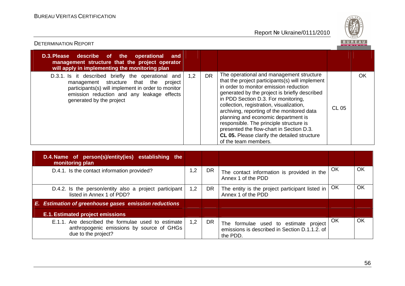

| <b>DETERMINATION REPORT</b>                                                                                                                                                                                                    |     |           |                                                                                                                                                                                                                                                                                                                                                                                                                                                                                                                               |       | BUREA |
|--------------------------------------------------------------------------------------------------------------------------------------------------------------------------------------------------------------------------------|-----|-----------|-------------------------------------------------------------------------------------------------------------------------------------------------------------------------------------------------------------------------------------------------------------------------------------------------------------------------------------------------------------------------------------------------------------------------------------------------------------------------------------------------------------------------------|-------|-------|
| D.3. Please describe of the operational<br>and<br>management structure that the project operator<br>will apply in implementing the monitoring plan                                                                             |     |           |                                                                                                                                                                                                                                                                                                                                                                                                                                                                                                                               |       |       |
| D.3.1. Is it described briefly the operational and<br>management structure that the<br>project<br>participants(s) will implement in order to monitor<br>emission reduction and any leakage effects<br>generated by the project | 1,2 | <b>DR</b> | The operational and management structure<br>that the project participants(s) will implement<br>in order to monitor emission reduction<br>generated by the project is briefly described<br>in PDD Section D.3. For monitoring,<br>collection, registration, visualization,<br>archiving, reporting of the monitored data<br>planning and economic department is<br>responsible. The principle structure is<br>presented the flow-chart in Section D.3.<br>CL 05. Please clarify the detailed structure<br>of the team members. | CL 05 | OK    |
| D.4. Name of person(s)/entity(ies) establishing the<br>monitoring plan                                                                                                                                                         |     |           |                                                                                                                                                                                                                                                                                                                                                                                                                                                                                                                               |       |       |

| D.4. Name of person(s)/entity(ies) establishing the<br>monitoring plan                                                 |     |    |                                                                                                    |    |    |
|------------------------------------------------------------------------------------------------------------------------|-----|----|----------------------------------------------------------------------------------------------------|----|----|
| D.4.1. Is the contact information provided?                                                                            | 1,2 | DR | The contact information is provided in the<br>Annex 1 of the PDD                                   | OK | OK |
| D.4.2. Is the person/entity also a project participant<br>listed in Annex 1 of PDD?                                    | 1,2 | DR | The entity is the project participant listed in<br>Annex 1 of the PDD                              | OK | OK |
| E. Estimation of greenhouse gases emission reductions                                                                  |     |    |                                                                                                    |    |    |
| <b>E.1. Estimated project emissions</b>                                                                                |     |    |                                                                                                    |    |    |
| E.1.1. Are described the formulae used to estimate<br>anthropogenic emissions by source of GHGs<br>due to the project? | 1,2 | DR | The formulae used to estimate project<br>emissions is described in Section D.1.1.2. of<br>the PDD. | OK | OK |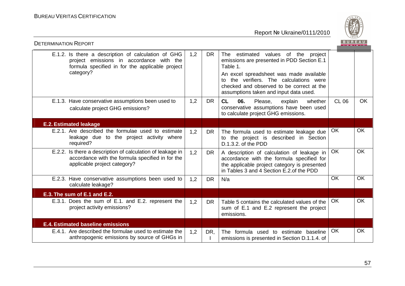

| <b>DETERMINATION REPORT</b>                                                                                                                                     |     |           |                                                                                                                                                                                                                                                                            |              |           |
|-----------------------------------------------------------------------------------------------------------------------------------------------------------------|-----|-----------|----------------------------------------------------------------------------------------------------------------------------------------------------------------------------------------------------------------------------------------------------------------------------|--------------|-----------|
| E.1.2. Is there a description of calculation of GHG<br>project emissions in accordance with the<br>formula specified in for the applicable project<br>category? | 1,2 | <b>DR</b> | The estimated values of the project<br>emissions are presented in PDD Section E.1<br>Table 1.<br>An excel spreadsheet was made available<br>to the verifiers. The calculations were<br>checked and observed to be correct at the<br>assumptions taken and input data used. |              |           |
| E.1.3. Have conservative assumptions been used to<br>calculate project GHG emissions?                                                                           | 1,2 | <b>DR</b> | CL<br>06.<br>Please,<br>whether<br>explain<br>conservative assumptions have been used<br>to calculate project GHG emissions.                                                                                                                                               | <b>CL 06</b> | <b>OK</b> |
| <b>E.2. Estimated leakage</b>                                                                                                                                   |     |           |                                                                                                                                                                                                                                                                            |              |           |
| E.2.1. Are described the formulae used to estimate<br>leakage due to the project activity where<br>required?                                                    | 1,2 | <b>DR</b> | The formula used to estimate leakage due<br>to the project is described in Section<br>D.1.3.2. of the PDD                                                                                                                                                                  | <b>OK</b>    | <b>OK</b> |
| E.2.2. Is there a description of calculation of leakage in<br>accordance with the formula specified in for the<br>applicable project category?                  | 1,2 | <b>DR</b> | A description of calculation of leakage in<br>accordance with the formula specified for<br>the applicable project category is presented<br>in Tables 3 and 4 Section E.2.of the PDD                                                                                        | <b>OK</b>    | <b>OK</b> |
| E.2.3. Have conservative assumptions been used to<br>calculate leakage?                                                                                         | 1,2 | <b>DR</b> | N/a                                                                                                                                                                                                                                                                        | <b>OK</b>    | <b>OK</b> |
| E.3. The sum of E.1 and E.2.                                                                                                                                    |     |           |                                                                                                                                                                                                                                                                            |              |           |
| E.3.1. Does the sum of E.1. and E.2. represent the<br>project activity emissions?                                                                               | 1,2 | <b>DR</b> | Table 5 contains the calculated values of the<br>sum of E.1 and E.2 represent the project<br>emissions.                                                                                                                                                                    | OK           | <b>OK</b> |
| <b>E.4. Estimated baseline emissions</b>                                                                                                                        |     |           |                                                                                                                                                                                                                                                                            |              |           |
| E.4.1. Are described the formulae used to estimate the<br>anthropogenic emissions by source of GHGs in                                                          | 1,2 | DR,       | The formula used to estimate baseline<br>emissions is presented in Section D.1.1.4. of                                                                                                                                                                                     | OK           | OK        |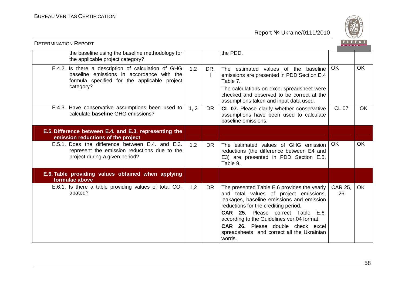

| <b>DETERMINATION REPORT</b>                                                                                                                                   |      |           |                                                                                                                                                                                                                                                                                                                                                            | BUREAU               |           |
|---------------------------------------------------------------------------------------------------------------------------------------------------------------|------|-----------|------------------------------------------------------------------------------------------------------------------------------------------------------------------------------------------------------------------------------------------------------------------------------------------------------------------------------------------------------------|----------------------|-----------|
| the baseline using the baseline methodology for<br>the applicable project category?                                                                           |      |           | the PDD.                                                                                                                                                                                                                                                                                                                                                   |                      |           |
| E.4.2. Is there a description of calculation of GHG<br>baseline emissions in accordance with the<br>formula specified for the applicable project<br>category? | 1,2  | DR,       | The estimated values of the baseline<br>emissions are presented in PDD Section E.4<br>Table 7.<br>The calculations on excel spreadsheet were<br>checked and observed to be correct at the<br>assumptions taken and input data used.                                                                                                                        | <b>OK</b>            | <b>OK</b> |
| E.4.3. Have conservative assumptions been used to<br>calculate <b>baseline</b> GHG emissions?                                                                 | 1, 2 | <b>DR</b> | CL 07. Please clarify whether conservative<br>assumptions have been used to calculate<br>baseline emissions.                                                                                                                                                                                                                                               | <b>CL 07</b>         | <b>OK</b> |
| E.5. Difference between E.4. and E.3. representing the<br>emission reductions of the project                                                                  |      |           |                                                                                                                                                                                                                                                                                                                                                            |                      |           |
| E.5.1. Does the difference between E.4. and E.3.<br>represent the emission reductions due to the<br>project during a given period?                            | 1,2  | <b>DR</b> | The estimated values of GHG emission<br>reductions (the difference between E4 and<br>E3) are presented in PDD Section E.5,<br>Table 9.                                                                                                                                                                                                                     | OK                   | OK        |
| E.6. Table providing values obtained when applying<br>formulae above                                                                                          |      |           |                                                                                                                                                                                                                                                                                                                                                            |                      |           |
| E.6.1. Is there a table providing values of total $CO2$<br>abated?                                                                                            | 1,2  | <b>DR</b> | The presented Table E.6 provides the yearly<br>and total values of project emissions,<br>leakages, baseline emissions and emission<br>reductions for the crediting period.<br>CAR 25. Please correct Table E.6.<br>according to the Guidelines ver.04 format.<br>CAR 26. Please double check excel<br>spreadsheets and correct all the Ukrainian<br>words. | <b>CAR 25.</b><br>26 | <b>OK</b> |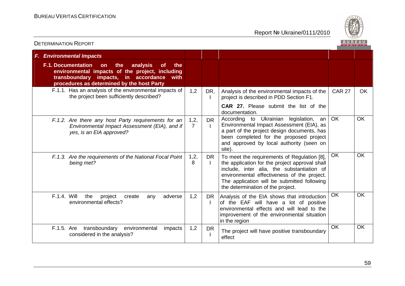

| <b>F. Environmental Impacts</b>                                                                                                                                                                                         |                        |           |                                                                                                                                                                                                                                                                                |               |           |
|-------------------------------------------------------------------------------------------------------------------------------------------------------------------------------------------------------------------------|------------------------|-----------|--------------------------------------------------------------------------------------------------------------------------------------------------------------------------------------------------------------------------------------------------------------------------------|---------------|-----------|
| <b>F.1. Documentation</b><br>the<br>analysis<br>on<br><b>of</b><br>the<br>environmental impacts of the project, including<br>transboundary impacts, in accordance<br>with<br>procedures as determined by the host Party |                        |           |                                                                                                                                                                                                                                                                                |               |           |
| F.1.1. Has an analysis of the environmental impacts of<br>the project been sufficiently described?                                                                                                                      | 1,2                    | DR,       | Analysis of the environmental impacts of the<br>project is described in PDD Section F1.                                                                                                                                                                                        | <b>CAR 27</b> | OK.       |
|                                                                                                                                                                                                                         |                        |           | <b>CAR 27.</b> Please submit the list of the<br>documentation.                                                                                                                                                                                                                 |               |           |
| F.1.2. Are there any host Party requirements for an<br>Environmental Impact Assessment (EIA), and if<br>yes, is an EIA approved?                                                                                        | 1,2,<br>$\overline{7}$ | <b>DR</b> | According to Ukrainian legislation,<br>an<br>Environmental Impact Assessment (EIA), as<br>a part of the project design documents, has<br>been completed for the proposed project<br>and approved by local authority (seen on<br>site).                                         | <b>OK</b>     | <b>OK</b> |
| F.1.3. Are the requirements of the National Focal Point<br>being met?                                                                                                                                                   | 1,2,<br>8              | DR<br>Ι.  | To meet the requirements of Regulation [8],<br>the application for the project approval shall<br>include, inter alia, the substantiation of<br>environmental effectiveness of the project.<br>The application will be submitted following<br>the determination of the project. | <b>OK</b>     | OK        |
| F.1.4. Will<br>the<br>project<br>adverse<br>create<br>any<br>environmental effects?                                                                                                                                     | 1,2                    |           | DR   Analysis of the EIA shows that introduction<br>of the EAF will have a lot of positive<br>environmental effects and will lead to the<br>improvement of the environmental situation<br>in the region                                                                        | <b>OK</b>     | OK        |
| F.1.5. Are transboundary environmental<br>impacts<br>considered in the analysis?                                                                                                                                        | 1,2                    | <b>DR</b> | The project will have positive transboundary<br>effect                                                                                                                                                                                                                         | <b>OK</b>     | OK        |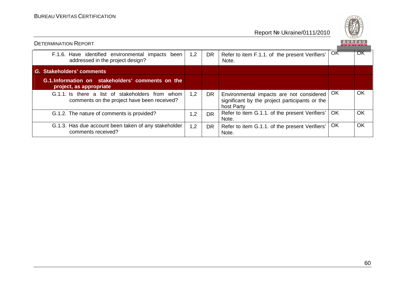

|                                                                                                 |     |           |                                                                                                          |           | ___________ |
|-------------------------------------------------------------------------------------------------|-----|-----------|----------------------------------------------------------------------------------------------------------|-----------|-------------|
| F.1.6. Have identified environmental impacts been<br>addressed in the project design?           | 1,2 | <b>DR</b> | Refer to item F.1.1. of the present Verifiers'<br>Note.                                                  | OK        | OK          |
| G. Stakeholders' comments                                                                       |     |           |                                                                                                          |           |             |
| G.1. Information on stakeholders' comments on the<br>project, as appropriate                    |     |           |                                                                                                          |           |             |
| G.1.1. Is there a list of stakeholders from whom<br>comments on the project have been received? | 1,2 | DR.       | Environmental impacts are not considered<br>significant by the project participants or the<br>host Party | OK        | OK          |
| G.1.2. The nature of comments is provided?                                                      | 1,2 | <b>DR</b> | Refer to item G.1.1. of the present Verifiers'<br>Note.                                                  | <b>OK</b> | <b>OK</b>   |
| G.1.3. Has due account been taken of any stakeholder<br>comments received?                      | 1,2 | <b>DR</b> | Refer to item G.1.1. of the present Verifiers'<br>Note.                                                  | OK        | OK          |

DETERMINATION REPORT

60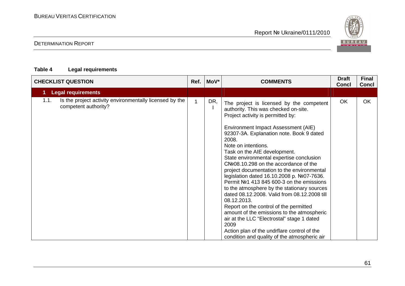# DETERMINATION REPORT

### **Table 4 Legal requirements**

BUREAU <sup>V</sup>ERITAS <sup>C</sup>ERTIFICATION

| <b>CHECKLIST QUESTION</b>                                                               |  | MoV* | <b>COMMENTS</b>                                                                                                                                                                                                                                                                                                                                                                                                                                                                                                                                                                                                                                                                                                                                                                                                                                                 | <b>Draft</b><br><b>Concl</b> | <b>Final</b><br><b>Concl</b> |
|-----------------------------------------------------------------------------------------|--|------|-----------------------------------------------------------------------------------------------------------------------------------------------------------------------------------------------------------------------------------------------------------------------------------------------------------------------------------------------------------------------------------------------------------------------------------------------------------------------------------------------------------------------------------------------------------------------------------------------------------------------------------------------------------------------------------------------------------------------------------------------------------------------------------------------------------------------------------------------------------------|------------------------------|------------------------------|
| <b>Legal requirements</b>                                                               |  |      |                                                                                                                                                                                                                                                                                                                                                                                                                                                                                                                                                                                                                                                                                                                                                                                                                                                                 |                              |                              |
| 1.1.<br>Is the project activity environmentally licensed by the<br>competent authority? |  | DR,  | The project is licensed by the competent<br>authority. This was checked on-site.<br>Project activity is permitted by:<br>Environment Impact Assessment (AIE)<br>92307-3A. Explanation note. Book 9 dated<br>2008.<br>Note on intentions.<br>Task on the AIE development.<br>State environmental expertise conclusion<br>CNº08.10.298 on the accordance of the<br>project documentation to the environmental<br>legislation dated 16.10.2008 p. №07-7636.<br>Permit №1 413 845 600-3 on the emissions<br>to the atmosphere by the stationary sources<br>dated 08.12.2008. Valid from 08.12.2008 till<br>08.12.2013.<br>Report on the control of the permitted<br>amount of the emissions to the atmospheric<br>air at the LLC "Electrostal" stage 1 dated<br>2009<br>Action plan of the undrflare control of the<br>condition and quality of the atmospheric air | OK                           | OK                           |

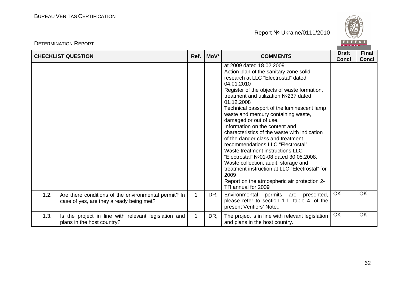

|      | <b>CHECKLIST QUESTION</b>                                                                        | Ref.        | MoV* | <b>COMMENTS</b>                                                                                                                                                                                                                                                                                                                                                                                                                                                                                                                                                                                                                                                                                                                                                 | <b>Draft</b><br><b>Concl</b> | <b>Final</b><br><b>Concl</b> |
|------|--------------------------------------------------------------------------------------------------|-------------|------|-----------------------------------------------------------------------------------------------------------------------------------------------------------------------------------------------------------------------------------------------------------------------------------------------------------------------------------------------------------------------------------------------------------------------------------------------------------------------------------------------------------------------------------------------------------------------------------------------------------------------------------------------------------------------------------------------------------------------------------------------------------------|------------------------------|------------------------------|
|      |                                                                                                  |             |      | at 2009 dated 18,02,2009<br>Action plan of the sanitary zone solid<br>research at LLC "Electrostal" dated<br>04.01.2010<br>Register of the objects of waste formation,<br>treatment and utilization Nº237 dated<br>01.12.2008<br>Technical passport of the luminescent lamp<br>waste and mercury containing waste,<br>damaged or out of use.<br>Information on the content and<br>characteristics of the waste with indication<br>of the danger class and treatment<br>recommendations LLC "Electrostal".<br>Waste treatment instructions LLC<br>"Electrostal" Nº01-08 dated 30.05.2008.<br>Waste collection, audit, storage and<br>treatment instruction at LLC "Electrostal" for<br>2009<br>Report on the atmospheric air protection 2-<br>TI annual for 2009 |                              |                              |
| 1.2. | Are there conditions of the environmental permit? In<br>case of yes, are they already being met? | 1           | DR,  | Environmental permits are presented,<br>please refer to section 1.1. table 4. of the<br>present Verifiers' Note                                                                                                                                                                                                                                                                                                                                                                                                                                                                                                                                                                                                                                                 | OK                           | <b>OK</b>                    |
| 1.3. | Is the project in line with relevant legislation and<br>plans in the host country?               | $\mathbf 1$ | DR,  | The project is in line with relevant legislation<br>and plans in the host country.                                                                                                                                                                                                                                                                                                                                                                                                                                                                                                                                                                                                                                                                              | OK                           | OK                           |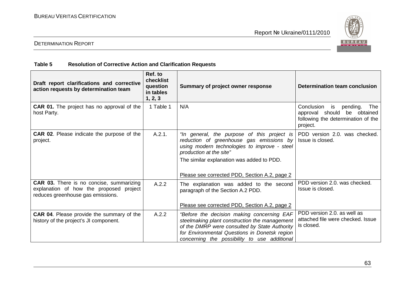

## DETERMINATION REPORT

### **Table 5 Resolution of Corrective Action and Clarification Requests**

| Draft report clarifications and corrective<br>action requests by determination team                                             | Ref. to<br>checklist<br>question<br>in tables<br>1, 2, 3 | Summary of project owner response                                                                                                                                                                                                                                | Determination team conclusion                                                                                     |
|---------------------------------------------------------------------------------------------------------------------------------|----------------------------------------------------------|------------------------------------------------------------------------------------------------------------------------------------------------------------------------------------------------------------------------------------------------------------------|-------------------------------------------------------------------------------------------------------------------|
| <b>CAR 01.</b> The project has no approval of the<br>host Party.                                                                | 1 Table 1                                                | N/A                                                                                                                                                                                                                                                              | Conclusion is<br>The<br>pending.<br>approval should be obtained<br>following the determination of the<br>project. |
| <b>CAR 02.</b> Please indicate the purpose of the<br>project.                                                                   | A.2.1.                                                   | "In general, the purpose of this project is<br>reduction of greenhouse gas emissions by<br>using modern technologies to improve - steel<br>production at the site"<br>The similar explanation was added to PDD.<br>Please see corrected PDD, Section A.2, page 2 | PDD version 2.0. was checked.<br>Issue is closed.                                                                 |
| <b>CAR 03.</b> There is no concise, summarizing<br>explanation of how the proposed project<br>reduces greenhouse gas emissions. | A.2.2                                                    | The explanation was added to the second<br>paragraph of the Section A.2 PDD.<br>Please see corrected PDD, Section A.2, page 2                                                                                                                                    | PDD version 2.0. was checked.<br>Issue is closed.                                                                 |
| <b>CAR 04.</b> Please provide the summary of the<br>history of the project's JI component.                                      | A.2.2                                                    | "Before the decision making concerning EAF<br>steelmaking plant construction the management<br>of the DMRP were consulted by State Authority<br>for Environmental Questions in Donetsk region<br>concerning the possibility to use additional                    | PDD version 2.0. as well as<br>attached file were checked. Issue<br>is closed.                                    |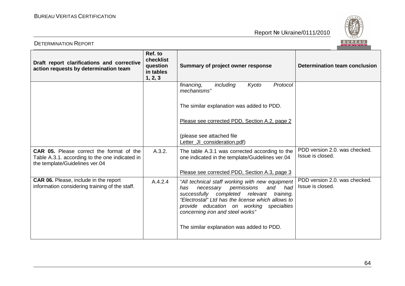

| <b>DETERMINATION REPORT</b>                                                                                                         |                                                          |                                                                                                                                                                                                                                                                                    | BUREAU                                            |
|-------------------------------------------------------------------------------------------------------------------------------------|----------------------------------------------------------|------------------------------------------------------------------------------------------------------------------------------------------------------------------------------------------------------------------------------------------------------------------------------------|---------------------------------------------------|
| Draft report clarifications and corrective<br>action requests by determination team                                                 | Ref. to<br>checklist<br>question<br>in tables<br>1, 2, 3 | Summary of project owner response                                                                                                                                                                                                                                                  | Determination team conclusion                     |
|                                                                                                                                     |                                                          | Kyoto<br>financing,<br>including<br>Protocol<br>mechanisms"                                                                                                                                                                                                                        |                                                   |
|                                                                                                                                     |                                                          | The similar explanation was added to PDD.                                                                                                                                                                                                                                          |                                                   |
|                                                                                                                                     |                                                          | Please see corrected PDD, Section A.2, page 2                                                                                                                                                                                                                                      |                                                   |
|                                                                                                                                     |                                                          | (please see attached file<br>Letter_JI_consideration.pdf)                                                                                                                                                                                                                          |                                                   |
| <b>CAR 05.</b> Please correct the format of the<br>Table A.3.1. according to the one indicated in<br>the template/Guidelines ver.04 | A.3.2.                                                   | The table A.3.1 was corrected according to the<br>one indicated in the template/Guidelines ver.04                                                                                                                                                                                  | PDD version 2.0, was checked.<br>Issue is closed. |
|                                                                                                                                     |                                                          | Please see corrected PDD, Section A.3, page 3                                                                                                                                                                                                                                      |                                                   |
| <b>CAR 06.</b> Please, include in the report<br>information considering training of the staff.                                      | A.4.2.4                                                  | "All technical staff working with new equipment<br>permissions<br>and had<br>necessary<br>has<br>successfully completed relevant<br>training.<br>"Electrostal" Ltd has the license which allows to<br>provide education on working specialties<br>concerning iron and steel works" | PDD version 2.0. was checked.<br>Issue is closed. |
|                                                                                                                                     |                                                          | The similar explanation was added to PDD.                                                                                                                                                                                                                                          |                                                   |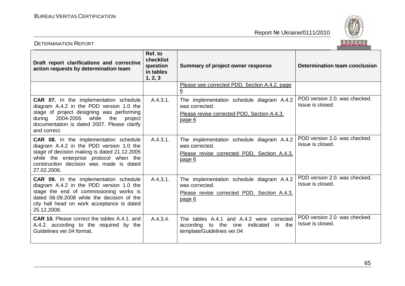

| <b>DETERMINATION REPORT</b>                                                                                                                                                                                                                       | BUREAU                                                   |                                                                                                                      |                                                   |
|---------------------------------------------------------------------------------------------------------------------------------------------------------------------------------------------------------------------------------------------------|----------------------------------------------------------|----------------------------------------------------------------------------------------------------------------------|---------------------------------------------------|
| Draft report clarifications and corrective<br>action requests by determination team                                                                                                                                                               | Ref. to<br>checklist<br>question<br>in tables<br>1, 2, 3 | Summary of project owner response                                                                                    | <b>Determination team conclusion</b>              |
|                                                                                                                                                                                                                                                   |                                                          | Please see corrected PDD, Section A.4.2, page<br>6                                                                   |                                                   |
| <b>CAR 07.</b> In the implementation schedule<br>diagram A.4.2 in the PDD version 1.0 the<br>stage of project designing was performing<br>2004-2005 while the<br>during<br>project<br>documentation is dated 2007. Please clarify<br>and correct. | A.4.3.1.                                                 | The implementation schedule diagram A.4.2<br>was corrected.<br>Please revise corrected PDD, Section A.4.3,<br>page 6 | PDD version 2.0, was checked.<br>Issue is closed. |
| CAR 08. In the implementation schedule<br>diagram A.4.2 in the PDD version 1.0 the<br>stage of decision making is dated 21.12.2005<br>while the enterprise protocol when the<br>construction decision was made is dated<br>27.02.2006.            | A.4.3.1.                                                 | The implementation schedule diagram A.4.2<br>was corrected.<br>Please revise corrected PDD, Section A.4.3,<br>page 6 | PDD version 2.0, was checked.<br>Issue is closed. |
| <b>CAR 09.</b> In the implementation schedule<br>diagram A.4.2 in the PDD version 1.0 the<br>stage the end of commissioning works is<br>dated 06.09.2008 while the decision of the<br>city hall head on work acceptance is dated<br>25.12.2008.   | A.4.3.1.                                                 | The implementation schedule diagram A.4.2<br>was corrected.<br>Please revise corrected PDD, Section A.4.3,<br>page 6 | PDD version 2.0. was checked.<br>Issue is closed. |
| <b>CAR 10.</b> Please correct the tables A.4.1. and<br>A.4.2. according to the required by the<br>Guidelines ver, 04 format.                                                                                                                      | A.4.3.4.                                                 | The tables A.4.1 and A.4.2 were corrected<br>according to the one indicated in the<br>template/Guidelines ver.04     | PDD version 2.0. was checked.<br>Issue is closed. |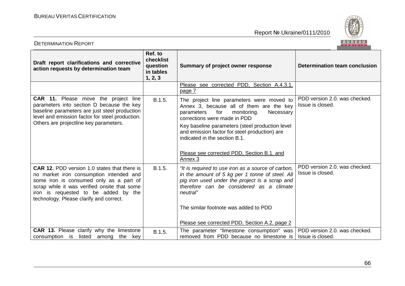

| <b>DETERMINATION REPORT</b>                                                                                                                                                                                                                                                  |                                                          |                                                                                                                                                                                                                                                                                                                                                                      | BUREAU                                            |
|------------------------------------------------------------------------------------------------------------------------------------------------------------------------------------------------------------------------------------------------------------------------------|----------------------------------------------------------|----------------------------------------------------------------------------------------------------------------------------------------------------------------------------------------------------------------------------------------------------------------------------------------------------------------------------------------------------------------------|---------------------------------------------------|
| Draft report clarifications and corrective<br>action requests by determination team                                                                                                                                                                                          | Ref. to<br>checklist<br>question<br>in tables<br>1, 2, 3 | Summary of project owner response                                                                                                                                                                                                                                                                                                                                    | Determination team conclusion                     |
|                                                                                                                                                                                                                                                                              |                                                          | Please see corrected PDD, Section A.4.3.1,<br>page 7                                                                                                                                                                                                                                                                                                                 |                                                   |
| CAR 11. Please move the project line<br>parameters into section D because the key<br>baseline parameters are just steel production<br>level and emission factor for steel production.<br>Others are projectline key parameters.                                              | B.1.5.                                                   | The project line parameters were moved to<br>Annex 3, because all of them are the key<br>parameters<br>for<br>monitoring.<br>Necessary<br>corrections were made in PDD<br>Key baseline parameters (steel production level<br>and emission factor for steel production) are<br>indicated in the section B.1.<br>Please see corrected PDD, Section B.1. and<br>Annex 3 | PDD version 2.0. was checked.<br>Issue is closed. |
| <b>CAR 12. PDD version 1.0 states that there is</b><br>no market iron consumption intended and<br>some iron is consumed only as a part of<br>scrap while it was verified onsite that some<br>iron is requested to be added by the<br>technology. Please clarify and correct. | B.1.5.                                                   | "It is required to use iron as a source of carbon,<br>in the amount of 5 kg per 1 tonne of steel. All<br>pig iron used under the project is a scrap and<br>therefore can be considered as a climate<br>neutral"<br>The similar footnote was added to PDD<br>Please see corrected PDD, Section A.2, page 2                                                            | PDD version 2.0. was checked.<br>Issue is closed. |
| <b>CAR 13.</b> Please clarify why the limestone<br>consumption is listed among<br>the<br>key                                                                                                                                                                                 | B.1.5.                                                   | The parameter "limestone consumption" was<br>removed from PDD because no limestone is                                                                                                                                                                                                                                                                                | PDD version 2.0. was checked.<br>Issue is closed. |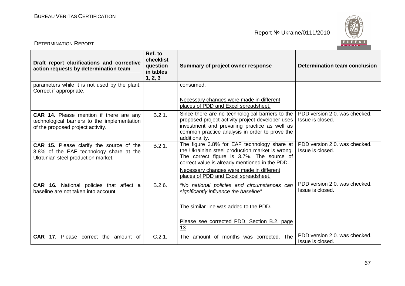

| <b>DETERMINATION REPORT</b>                                                                                                         |                                                          |                                                                                                                                                                                                                                                                                   | BUREAU                                            |
|-------------------------------------------------------------------------------------------------------------------------------------|----------------------------------------------------------|-----------------------------------------------------------------------------------------------------------------------------------------------------------------------------------------------------------------------------------------------------------------------------------|---------------------------------------------------|
| Draft report clarifications and corrective<br>action requests by determination team                                                 | Ref. to<br>checklist<br>question<br>in tables<br>1, 2, 3 | Summary of project owner response                                                                                                                                                                                                                                                 | Determination team conclusion                     |
| parameters while it is not used by the plant.<br>Correct if appropriate.                                                            |                                                          | consumed.                                                                                                                                                                                                                                                                         |                                                   |
|                                                                                                                                     |                                                          | Necessary changes were made in different<br>places of PDD and Excel spreadsheet.                                                                                                                                                                                                  |                                                   |
| <b>CAR 14.</b> Please mention if there are any<br>technological barriers to the implementation<br>of the proposed project activity. | B.2.1.                                                   | Since there are no technological barriers to the<br>proposed project activity project developer uses<br>investment and prevailing practice as well as<br>common practice analysis in order to prove the<br>additionality.                                                         | PDD version 2.0, was checked.<br>Issue is closed. |
| <b>CAR 15.</b> Please clarify the source of the<br>3.8% of the EAF technology share at the<br>Ukrainian steel production market.    | B.2.1.                                                   | The figure 3.8% for EAF technology share at<br>the Ukrainian steel production market is wrong.<br>The correct figure is 3.7%. The source of<br>correct value is already mentioned in the PDD.<br>Necessary changes were made in different<br>places of PDD and Excel spreadsheet. | PDD version 2.0, was checked.<br>Issue is closed. |
| <b>CAR 16.</b> National policies that affect a<br>baseline are not taken into account.                                              | B.2.6.                                                   | "No national policies and circumstances can<br>significantly influence the baseline"                                                                                                                                                                                              | PDD version 2.0. was checked.<br>Issue is closed. |
|                                                                                                                                     |                                                          | The similar line was added to the PDD.                                                                                                                                                                                                                                            |                                                   |
|                                                                                                                                     |                                                          | Please see corrected PDD, Section B.2, page<br>13                                                                                                                                                                                                                                 |                                                   |
| <b>CAR 17.</b> Please correct the amount of                                                                                         | C.2.1.                                                   | The amount of months was corrected. The                                                                                                                                                                                                                                           | PDD version 2.0. was checked.<br>Issue is closed. |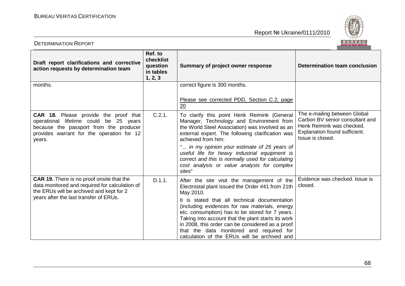

| Draft report clarifications and corrective<br>action requests by determination team                                                                                                     | Ref. to<br>checklist<br>question<br>in tables<br>1, 2, 3 | Summary of project owner response                                                                                                                                                                                                                                                                                                                        | Determination team conclusion                                                                                                                     |
|-----------------------------------------------------------------------------------------------------------------------------------------------------------------------------------------|----------------------------------------------------------|----------------------------------------------------------------------------------------------------------------------------------------------------------------------------------------------------------------------------------------------------------------------------------------------------------------------------------------------------------|---------------------------------------------------------------------------------------------------------------------------------------------------|
| months.                                                                                                                                                                                 |                                                          | correct figure is 300 months.                                                                                                                                                                                                                                                                                                                            |                                                                                                                                                   |
|                                                                                                                                                                                         |                                                          | Please see corrected PDD, Section C.2, page<br>20                                                                                                                                                                                                                                                                                                        |                                                                                                                                                   |
| <b>CAR 18.</b> Please provide the proof that<br>operational lifetime could be 25 years<br>because the passport from the producer<br>provides warrant for the operation for 12<br>years. | C.2.1.                                                   | To clarify this point Henk Reimink (General<br>Manager, Technology and Environment from<br>the World Steel Association) was involved as an<br>external expert. The following clarification was<br>achieved from him:                                                                                                                                     | The e-mailing between Global<br>Carbon BV senior consultant and<br>Henk Reimink was checked.<br>Explanation found sufficient.<br>Issue is closed. |
|                                                                                                                                                                                         |                                                          | " in my opinion your estimate of 25 years of<br>useful life for heavy industrial equipment is<br>correct and this is normally used for calculating<br>cost analysis or value analysis for complex<br>sites"                                                                                                                                              |                                                                                                                                                   |
| CAR 19. There is no proof onsite that the<br>data monitored and required for calculation of<br>the ERUs will be archived and kept for 2                                                 | D.1.1.                                                   | After the site visit the management of the<br>Electrostal plant issued the Order #41 from 21th<br>May 2010.                                                                                                                                                                                                                                              | Evidence was checked. Issue is<br>closed.                                                                                                         |
| years after the last transfer of ERUs.                                                                                                                                                  |                                                          | It is stated that all technical documentation<br>(including evidences for raw materials, energy<br>etc. consumption) has to be stored for 7 years.<br>Taking into account that the plant starts its work<br>in 2008, this order can be considered as a proof<br>that the data monitored and required for<br>calculation of the ERUs will be archived and |                                                                                                                                                   |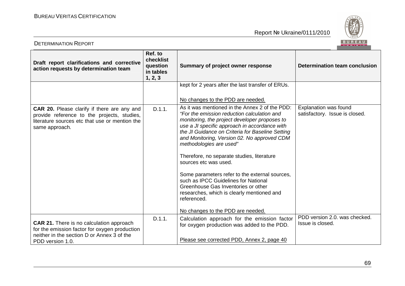

| <b>DETERMINATION REPORT</b>                                                                                                                                        |                                                          |                                                                                                                                                                                                                                                                                                                                                                                                                                                                                                                                                                                                                                         | <b>BUREAU</b>                                           |
|--------------------------------------------------------------------------------------------------------------------------------------------------------------------|----------------------------------------------------------|-----------------------------------------------------------------------------------------------------------------------------------------------------------------------------------------------------------------------------------------------------------------------------------------------------------------------------------------------------------------------------------------------------------------------------------------------------------------------------------------------------------------------------------------------------------------------------------------------------------------------------------------|---------------------------------------------------------|
| Draft report clarifications and corrective<br>action requests by determination team                                                                                | Ref. to<br>checklist<br>question<br>in tables<br>1, 2, 3 | Summary of project owner response                                                                                                                                                                                                                                                                                                                                                                                                                                                                                                                                                                                                       | <b>Determination team conclusion</b>                    |
|                                                                                                                                                                    |                                                          | kept for 2 years after the last transfer of ERUs.<br>No changes to the PDD are needed.                                                                                                                                                                                                                                                                                                                                                                                                                                                                                                                                                  |                                                         |
| CAR 20. Please clarify if there are any and<br>provide reference to the projects, studies,<br>literature sources etc that use or mention the<br>same approach.     | D.1.1.                                                   | As it was mentioned in the Annex 2 of the PDD:<br>"For the emission reduction calculation and<br>monitoring, the project developer proposes to<br>use a JI specific approach in accordance with<br>the JI Guidance on Criteria for Baseline Setting<br>and Monitoring, Version 02. No approved CDM<br>methodologies are used"<br>Therefore, no separate studies, literature<br>sources etc was used.<br>Some parameters refer to the external sources,<br>such as IPCC Guidelines for National<br>Greenhouse Gas Inventories or other<br>researches, which is clearly mentioned and<br>referenced.<br>No changes to the PDD are needed. | Explanation was found<br>satisfactory. Issue is closed. |
| <b>CAR 21.</b> There is no calculation approach<br>for the emission factor for oxygen production<br>neither in the section D or Annex 3 of the<br>PDD version 1.0. | D.1.1.                                                   | Calculation approach for the emission factor<br>for oxygen production was added to the PDD.<br>Please see corrected PDD, Annex 2, page 40                                                                                                                                                                                                                                                                                                                                                                                                                                                                                               | PDD version 2.0. was checked.<br>Issue is closed.       |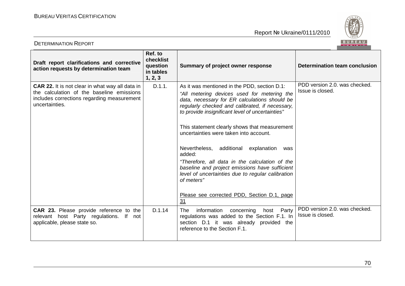

| <b>DETERMINATION REPORT</b>                                                                                                                                         |                                                          |                                                                                                                                                                                                                                                                                                                                                                                                                                                                                                                                                                                                                                     | BUREAU                                            |
|---------------------------------------------------------------------------------------------------------------------------------------------------------------------|----------------------------------------------------------|-------------------------------------------------------------------------------------------------------------------------------------------------------------------------------------------------------------------------------------------------------------------------------------------------------------------------------------------------------------------------------------------------------------------------------------------------------------------------------------------------------------------------------------------------------------------------------------------------------------------------------------|---------------------------------------------------|
| Draft report clarifications and corrective<br>action requests by determination team                                                                                 | Ref. to<br>checklist<br>question<br>in tables<br>1, 2, 3 | Summary of project owner response                                                                                                                                                                                                                                                                                                                                                                                                                                                                                                                                                                                                   | <b>Determination team conclusion</b>              |
| <b>CAR 22.</b> It is not clear in what way all data in<br>the calculation of the baseline emissions<br>includes corrections regarding measurement<br>uncertainties. | D.1.1.                                                   | As it was mentioned in the PDD, section D.1:<br>"All metering devices used for metering the<br>data, necessary for ER calculations should be<br>regularly checked and calibrated, if necessary,<br>to provide insignificant level of uncertainties"<br>This statement clearly shows that measurement<br>uncertainties were taken into account.<br>Nevertheless, additional explanation<br>was<br>added:<br>"Therefore, all data in the calculation of the<br>baseline and project emissions have sufficient<br>level of uncertainties due to regular calibration<br>of meters"<br>Please see corrected PDD, Section D.1, page<br>31 | PDD version 2.0, was checked.<br>Issue is closed. |
| <b>CAR 23.</b> Please provide reference to the<br>relevant host Party regulations. If not<br>applicable, please state so.                                           | D.1.14                                                   | information<br>concerning host Party<br><b>The</b><br>regulations was added to the Section F.1. In<br>section D.1 it was already provided the<br>reference to the Section F.1.                                                                                                                                                                                                                                                                                                                                                                                                                                                      | PDD version 2.0. was checked.<br>Issue is closed. |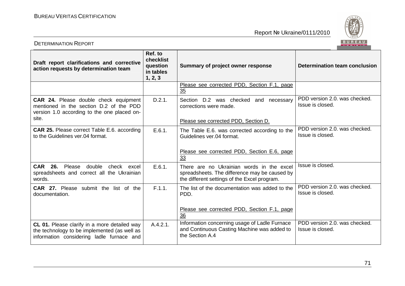

| <b>DETERMINATION REPORT</b>                                                                                                               |                                                          |                                                                                                                                            | BUREAU                                            |
|-------------------------------------------------------------------------------------------------------------------------------------------|----------------------------------------------------------|--------------------------------------------------------------------------------------------------------------------------------------------|---------------------------------------------------|
| Draft report clarifications and corrective<br>action requests by determination team                                                       | Ref. to<br>checklist<br>question<br>in tables<br>1, 2, 3 | Summary of project owner response                                                                                                          | Determination team conclusion                     |
|                                                                                                                                           |                                                          | Please see corrected PDD, Section F.1, page<br>35                                                                                          |                                                   |
| CAR 24. Please double check equipment<br>mentioned in the section D.2 of the PDD<br>version 1.0 according to the one placed on-<br>site.  | D.2.1.                                                   | Section D.2 was checked and necessary<br>corrections were made.<br>Please see corrected PDD, Section D.                                    | PDD version 2.0, was checked.<br>Issue is closed. |
| <b>CAR 25.</b> Please correct Table E.6. according<br>to the Guidelines ver, 04 format.                                                   | E.6.1.                                                   | The Table E.6. was corrected according to the<br>Guidelines ver.04 format.<br>Please see corrected PDD, Section E.6, page<br>33            | PDD version 2.0. was checked.<br>Issue is closed. |
| CAR 26. Please double check excel<br>spreadsheets and correct all the Ukrainian<br>words.                                                 | E.6.1.                                                   | There are no Ukrainian words in the excel<br>spreadsheets. The difference may be caused by<br>the different settings of the Excel program. | Issue is closed.                                  |
| <b>CAR 27.</b> Please submit the list of the<br>documentation.                                                                            | F.1.1.                                                   | The list of the documentation was added to the<br>PDD.<br>Please see corrected PDD, Section F.1, page<br>36                                | PDD version 2.0, was checked.<br>Issue is closed. |
| CL 01. Please clarify in a more detailed way<br>the technology to be implemented (as well as<br>information considering ladle furnace and | A.4.2.1.                                                 | Information concerning usage of Ladle Furnace<br>and Continuous Casting Machine was added to<br>the Section A.4                            | PDD version 2.0, was checked.<br>Issue is closed. |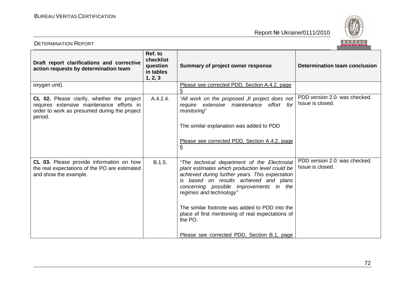

| BUREAU<br><b>DETERMINATION REPORT</b>                                                                                                              |                                                          |                                                                                                                                                                                                                                                                    |                                                   |
|----------------------------------------------------------------------------------------------------------------------------------------------------|----------------------------------------------------------|--------------------------------------------------------------------------------------------------------------------------------------------------------------------------------------------------------------------------------------------------------------------|---------------------------------------------------|
| Draft report clarifications and corrective<br>action requests by determination team                                                                | Ref. to<br>checklist<br>question<br>in tables<br>1, 2, 3 | Summary of project owner response                                                                                                                                                                                                                                  | Determination team conclusion                     |
| oxygen unit).                                                                                                                                      |                                                          | Please see corrected PDD, Section A.4.2, page                                                                                                                                                                                                                      |                                                   |
| CL 02. Please clarify, whether the project<br>requires extensive maintenance efforts in<br>order to work as presumed during the project<br>period. | A.4.2.4.                                                 | "All work on the proposed JI project does not<br>require extensive maintenance effort for<br>monitoring"                                                                                                                                                           | PDD version 2.0, was checked.<br>Issue is closed. |
|                                                                                                                                                    |                                                          | The similar explanation was added to PDD                                                                                                                                                                                                                           |                                                   |
|                                                                                                                                                    |                                                          | Please see corrected PDD, Section A.4.2, page<br><u>6</u>                                                                                                                                                                                                          |                                                   |
| CL 03. Please provide information on how<br>the real expectations of the PO are estimated<br>and show the example.                                 | B.1.5.                                                   | "The technical department of the Electrostal<br>plant estimates which production level could be<br>achieved during further years. This expectation<br>is based on results achieved and plans<br>concerning possible improvements in the<br>regimes and technology" | PDD version 2.0. was checked.<br>Issue is closed. |
|                                                                                                                                                    |                                                          | The similar footnote was added to PDD into the<br>place of first mentioning of real expectations of<br>the PO.                                                                                                                                                     |                                                   |
|                                                                                                                                                    |                                                          | Please see corrected PDD, Section B.1, page                                                                                                                                                                                                                        |                                                   |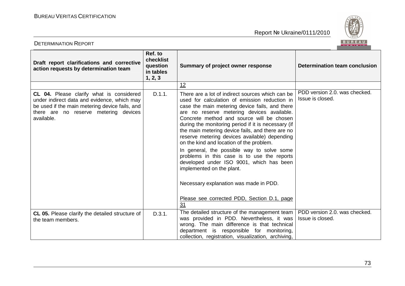

| BUREAU<br><b>DETERMINATION REPORT</b>                                                                                                                                                                   |                                                          |                                                                                                                                                                                                                                                                                                                                                                                                                                                                                                                                                                                                                                                                                                                             |                                                   |  |
|---------------------------------------------------------------------------------------------------------------------------------------------------------------------------------------------------------|----------------------------------------------------------|-----------------------------------------------------------------------------------------------------------------------------------------------------------------------------------------------------------------------------------------------------------------------------------------------------------------------------------------------------------------------------------------------------------------------------------------------------------------------------------------------------------------------------------------------------------------------------------------------------------------------------------------------------------------------------------------------------------------------------|---------------------------------------------------|--|
| Draft report clarifications and corrective<br>action requests by determination team                                                                                                                     | Ref. to<br>checklist<br>question<br>in tables<br>1, 2, 3 | Summary of project owner response                                                                                                                                                                                                                                                                                                                                                                                                                                                                                                                                                                                                                                                                                           | Determination team conclusion                     |  |
|                                                                                                                                                                                                         |                                                          | 12                                                                                                                                                                                                                                                                                                                                                                                                                                                                                                                                                                                                                                                                                                                          |                                                   |  |
| <b>CL 04.</b> Please clarify what is considered<br>under indirect data and evidence, which may<br>be used if the main metering device fails, and<br>there are no reserve metering devices<br>available. | D.1.1.                                                   | There are a lot of indirect sources which can be<br>used for calculation of emission reduction in<br>case the main metering device fails, and there<br>are no reserve metering devices available.<br>Concrete method and source will be chosen<br>during the monitoring period if it is necessary (if<br>the main metering device fails, and there are no<br>reserve metering devices available) depending<br>on the kind and location of the problem.<br>In general, the possible way to solve some<br>problems in this case is to use the reports<br>developed under ISO 9001, which has been<br>implemented on the plant.<br>Necessary explanation was made in PDD.<br>Please see corrected PDD, Section D.1, page<br>31 | PDD version 2.0. was checked.<br>Issue is closed. |  |
| CL 05. Please clarify the detailed structure of<br>the team members.                                                                                                                                    | D.3.1.                                                   | The detailed structure of the management team<br>was provided in PDD. Nevertheless, it was<br>wrong. The main difference is that technical<br>department is responsible for monitoring,<br>collection, registration, visualization, archiving,                                                                                                                                                                                                                                                                                                                                                                                                                                                                              | PDD version 2.0, was checked.<br>Issue is closed. |  |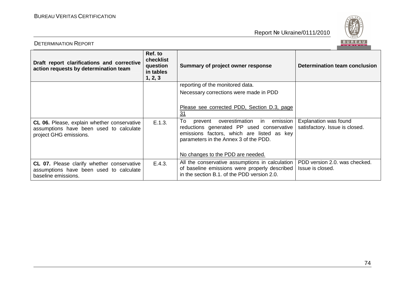

| <b>DETERMINATION REPORT</b>                                                                                      |                                                          |                                                                                                                                                                                                                            |                                                         |
|------------------------------------------------------------------------------------------------------------------|----------------------------------------------------------|----------------------------------------------------------------------------------------------------------------------------------------------------------------------------------------------------------------------------|---------------------------------------------------------|
| Draft report clarifications and corrective<br>action requests by determination team                              | Ref. to<br>checklist<br>question<br>in tables<br>1, 2, 3 | Summary of project owner response                                                                                                                                                                                          | Determination team conclusion                           |
|                                                                                                                  |                                                          | reporting of the monitored data.                                                                                                                                                                                           |                                                         |
|                                                                                                                  |                                                          | Necessary corrections were made in PDD                                                                                                                                                                                     |                                                         |
|                                                                                                                  |                                                          | Please see corrected PDD, Section D.3, page<br><u>31</u>                                                                                                                                                                   |                                                         |
| CL 06. Please, explain whether conservative<br>assumptions have been used to calculate<br>project GHG emissions. | E.1.3.                                                   | To<br>overestimation<br>in<br>emission<br>prevent<br>reductions generated PP used conservative<br>emissions factors, which are listed as key<br>parameters in the Annex 3 of the PDD.<br>No changes to the PDD are needed. | Explanation was found<br>satisfactory. Issue is closed. |
| CL 07. Please clarify whether conservative<br>assumptions have been used to calculate<br>baseline emissions.     | E.4.3.                                                   | All the conservative assumptions in calculation<br>of baseline emissions were properly described<br>in the section B.1. of the PDD version 2.0.                                                                            | PDD version 2.0. was checked.<br>Issue is closed.       |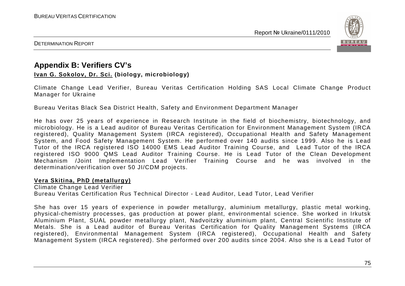

DETERMINATION REPORT

## **Appendix B: Verifiers CV's**

**Ivan G. Sokolov, Dr. Sci. (biology, microbiology)** 

Climate Change Lead Verifier, Bureau Veritas Certification Holding SAS Local Climate Change Product Manager for Ukraine

Bureau Veritas Black Sea District Health, Safety and Environment Department Manager

He has over 25 years of experience in Research Institute in the field of biochemistry, biotechnology, and microbiology. He is a Lead auditor of Bureau Veritas Certification for Environment Management System (IRCA registered), Quality Management System (IRCA registered), Occupational Health and Safety Management System, and Food Safety Management System. He performed over 140 audits since 1999. Also he is Lead Tutor of the IRCA registered ISO 14000 EMS Lead Auditor Training Course, and Lead Tutor of the IRCA registered ISO 9000 QMS Lead Auditor Training Course. He is Lead Tutor of the Clean Development Mechanism /Joint Implementation Lead Verifier Training Course and he was involved in the determination/verification over 50 JI/CDM projects.

## **Vera Skitina, PhD (metallurgy)**

Climate Change Lead Verifier Bureau Veritas Certification Rus Technical Director - Lead Auditor, Lead Tutor, Lead Verifier

She has over 15 years of experience in powder metallurgy, aluminium metallurgy, plastic metal working, physical-chemistry processes, gas production at power plant, environmental science. She worked in Irkutsk Aluminium Plant, SUAL powder metallurgy plant, Nadvoitzky aluminium plant, Central Scientific Institute of Metals. She is a Lead auditor of Bureau Veritas Certification for Quality Management Systems (IRCA registered), Environmental Management System (IRCA registered), Occupational Health and Safety Management System (IRCA registered). She performed over 200 audits since 2004. Also she is a Lead Tutor of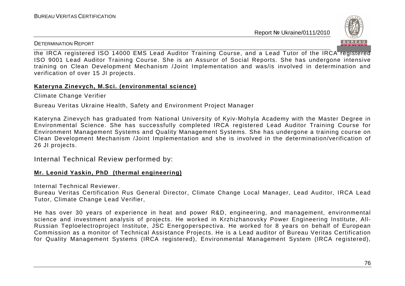

DETERMINATION REPORT

the IRCA registered ISO 14000 EMS Lead Auditor Training Course, and a Lead Tutor of the IRCA registered ISO 9001 Lead Auditor Training Course. She is an Assuror of Social Reports. She has undergone intensive training on Clean Development Mechanism /Joint Implementation and was/is involved in determination andverification of over 15 JI projects.

## **Kateryna Zinevych, M.Sci. (environmental science)**

Climate Change Verifier

Bureau Veritas Ukraine Health, Safety and Environment Project Manager

Kateryna Zinevych has graduated from National University of Kyiv-Mohyla Academy with the Master Degree in Environmental Science. She has successfully completed IRCA registered Lead Auditor Training Course for Environment Management Systems and Quality Management Systems. She has undergone a training course on Clean Development Mechanism /Joint Implementation and she is involved in the determination/verification of 26 JI projects.

Internal Technical Review performed by:

## **Mr. Leonid Yaskin, PhD (thermal engineering)**

Internal Technical Reviewer.

 Bureau Veritas Certification Rus General Director, Climate Change Local Manager, Lead Auditor, IRCA Lead Tutor, Climate Change Lead Verifier,

He has over 30 years of experience in heat and power R&D, engineering, and management, environmental science and investment analysis of projects. He worked in Krzhizhanovsky Power Engineering Institute, All-Russian Teploelectroproject Institute, JSC Energoperspectiva. He worked for 8 years on behalf of European Commission as a monitor of Technical Assistance Projects. He is a Lead auditor of Bureau Veritas Certification for Quality Management Systems (IRCA registered), Environmental Management System (IRCA registered),